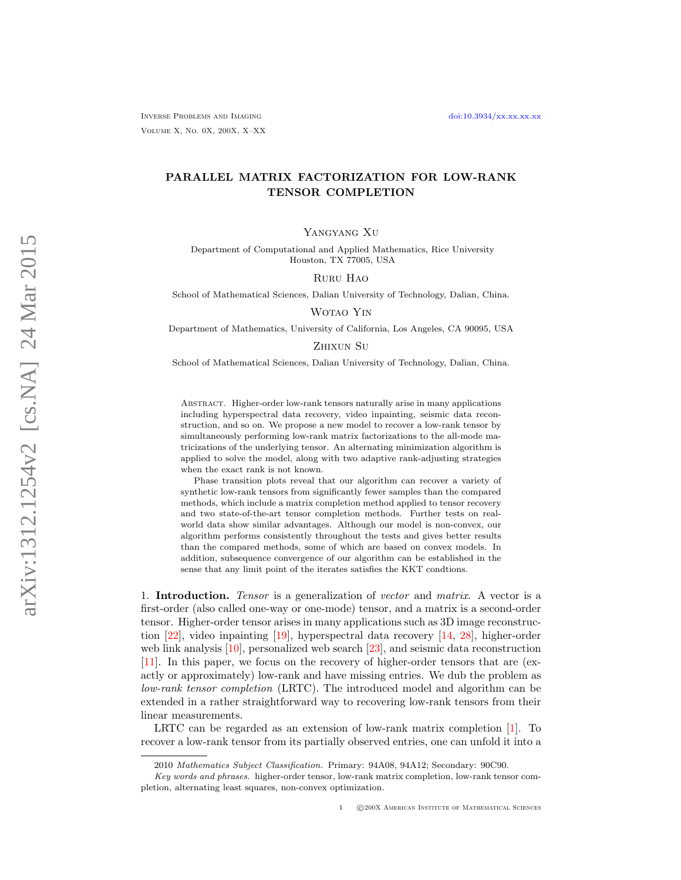# PARALLEL MATRIX FACTORIZATION FOR LOW-RANK TENSOR COMPLETION

Yangyang Xu

Department of Computational and Applied Mathematics, Rice University Houston, TX 77005, USA

### Ruru Hao

School of Mathematical Sciences, Dalian University of Technology, Dalian, China.

Wotao Yin

Department of Mathematics, University of California, Los Angeles, CA 90095, USA

## Zhixun Su

School of Mathematical Sciences, Dalian University of Technology, Dalian, China.

Abstract. Higher-order low-rank tensors naturally arise in many applications including hyperspectral data recovery, video inpainting, seismic data reconstruction, and so on. We propose a new model to recover a low-rank tensor by simultaneously performing low-rank matrix factorizations to the all-mode matricizations of the underlying tensor. An alternating minimization algorithm is applied to solve the model, along with two adaptive rank-adjusting strategies when the exact rank is not known.

Phase transition plots reveal that our algorithm can recover a variety of synthetic low-rank tensors from significantly fewer samples than the compared methods, which include a matrix completion method applied to tensor recovery and two state-of-the-art tensor completion methods. Further tests on realworld data show similar advantages. Although our model is non-convex, our algorithm performs consistently throughout the tests and gives better results than the compared methods, some of which are based on convex models. In addition, subsequence convergence of our algorithm can be established in the sense that any limit point of the iterates satisfies the KKT condtions.

1. Introduction. Tensor is a generalization of vector and matrix. A vector is a first-order (also called one-way or one-mode) tensor, and a matrix is a second-order tensor. Higher-order tensor arises in many applications such as 3D image reconstruction [\[22\]](#page-23-0), video inpainting [\[19\]](#page-23-1), hyperspectral data recovery [\[14,](#page-23-2) [28\]](#page-24-0), higher-order web link analysis [\[10\]](#page-23-3), personalized web search [\[23\]](#page-23-4), and seismic data reconstruction [\[11\]](#page-23-5). In this paper, we focus on the recovery of higher-order tensors that are (exactly or approximately) low-rank and have missing entries. We dub the problem as low-rank tensor completion (LRTC). The introduced model and algorithm can be extended in a rather straightforward way to recovering low-rank tensors from their linear measurements.

LRTC can be regarded as an extension of low-rank matrix completion [\[1\]](#page-22-0). To recover a low-rank tensor from its partially observed entries, one can unfold it into a

<sup>2010</sup> Mathematics Subject Classification. Primary: 94A08, 94A12; Secondary: 90C90.

Key words and phrases. higher-order tensor, low-rank matrix completion, low-rank tensor completion, alternating least squares, non-convex optimization.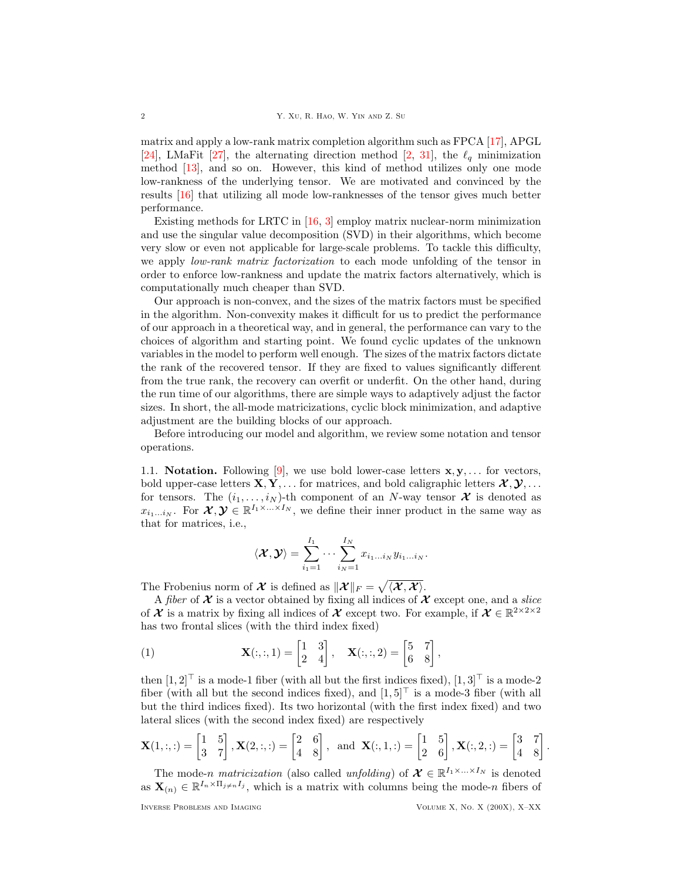matrix and apply a low-rank matrix completion algorithm such as FPCA [\[17\]](#page-23-6), APGL [\[24\]](#page-23-7), LMaFit [\[27\]](#page-23-8), the alternating direction method [\[2,](#page-22-1) [31\]](#page-24-1), the  $\ell_q$  minimization method [\[13\]](#page-23-9), and so on. However, this kind of method utilizes only one mode low-rankness of the underlying tensor. We are motivated and convinced by the results [\[16\]](#page-23-10) that utilizing all mode low-ranknesses of the tensor gives much better performance.

Existing methods for LRTC in [\[16,](#page-23-10) [3\]](#page-23-11) employ matrix nuclear-norm minimization and use the singular value decomposition (SVD) in their algorithms, which become very slow or even not applicable for large-scale problems. To tackle this difficulty, we apply low-rank matrix factorization to each mode unfolding of the tensor in order to enforce low-rankness and update the matrix factors alternatively, which is computationally much cheaper than SVD.

Our approach is non-convex, and the sizes of the matrix factors must be specified in the algorithm. Non-convexity makes it difficult for us to predict the performance of our approach in a theoretical way, and in general, the performance can vary to the choices of algorithm and starting point. We found cyclic updates of the unknown variables in the model to perform well enough. The sizes of the matrix factors dictate the rank of the recovered tensor. If they are fixed to values significantly different from the true rank, the recovery can overfit or underfit. On the other hand, during the run time of our algorithms, there are simple ways to adaptively adjust the factor sizes. In short, the all-mode matricizations, cyclic block minimization, and adaptive adjustment are the building blocks of our approach.

Before introducing our model and algorithm, we review some notation and tensor operations.

1.1. **Notation.** Following [\[9\]](#page-23-12), we use bold lower-case letters  $x, y, \ldots$  for vectors, bold upper-case letters  $X, Y, \ldots$  for matrices, and bold caligraphic letters  $\mathcal{X}, \mathcal{Y}, \ldots$ for tensors. The  $(i_1, \ldots, i_N)$ -th component of an N-way tensor  $\mathcal X$  is denoted as  $x_{i_1...i_N}$ . For  $\mathcal{X}, \mathcal{Y} \in \mathbb{R}^{I_1 \times ... \times I_N}$ , we define their inner product in the same way as that for matrices, i.e.,

$$
\langle \boldsymbol{\mathcal{X}}, \boldsymbol{\mathcal{Y}} \rangle = \sum_{i_1=1}^{I_1} \cdots \sum_{i_N=1}^{I_N} x_{i_1 \ldots i_N} y_{i_1 \ldots i_N}.
$$

The Frobenius norm of  $\mathcal X$  is defined as  $\|\mathcal X\|_F = \sqrt{\langle \mathcal X, \mathcal X\rangle}.$ 

A fiber of  $\mathcal X$  is a vector obtained by fixing all indices of  $\mathcal X$  except one, and a slice of  $\mathcal X$  is a matrix by fixing all indices of  $\mathcal X$  except two. For example, if  $\mathcal X \in \mathbb R^{2 \times 2 \times 2}$ has two frontal slices (with the third index fixed)

<span id="page-1-0"></span>(1) 
$$
\mathbf{X}(:,,1) = \begin{bmatrix} 1 & 3 \\ 2 & 4 \end{bmatrix}, \quad \mathbf{X}(:,,2) = \begin{bmatrix} 5 & 7 \\ 6 & 8 \end{bmatrix},
$$

then  $[1, 2]^\top$  is a mode-1 fiber (with all but the first indices fixed),  $[1, 3]^\top$  is a mode-2 fiber (with all but the second indices fixed), and  $[1, 5]^\top$  is a mode-3 fiber (with all but the third indices fixed). Its two horizontal (with the first index fixed) and two lateral slices (with the second index fixed) are respectively

$$
\mathbf{X}(1,:,:)=\begin{bmatrix}1 & 5\\3 & 7\end{bmatrix}, \mathbf{X}(2,:,:)=\begin{bmatrix}2 & 6\\4 & 8\end{bmatrix}, \text{ and } \mathbf{X}(:,1,:)=\begin{bmatrix}1 & 5\\2 & 6\end{bmatrix}, \mathbf{X}(:,2,:)=\begin{bmatrix}3 & 7\\4 & 8\end{bmatrix}.
$$

The mode-n matricization (also called unfolding) of  $\mathcal{X} \in \mathbb{R}^{I_1 \times ... \times I_N}$  is denoted as  $\mathbf{X}_{(n)} \in \mathbb{R}^{I_n \times \Pi_{j \neq n}I_j}$ , which is a matrix with columns being the mode-n fibers of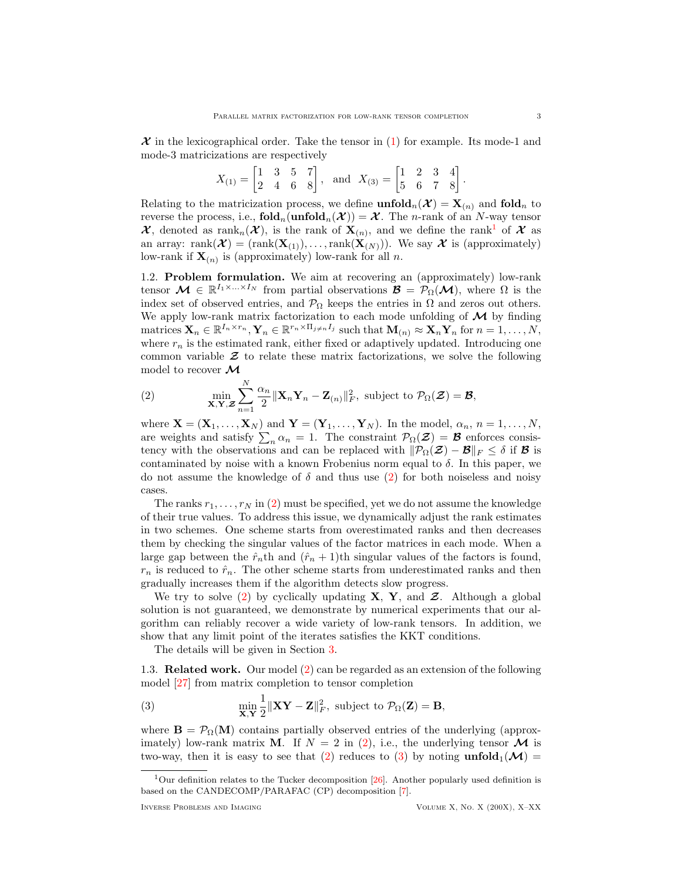$\mathcal X$  in the lexicographical order. Take the tensor in [\(1\)](#page-1-0) for example. Its mode-1 and mode-3 matricizations are respectively

$$
X_{(1)} = \begin{bmatrix} 1 & 3 & 5 & 7 \\ 2 & 4 & 6 & 8 \end{bmatrix}, \text{ and } X_{(3)} = \begin{bmatrix} 1 & 2 & 3 & 4 \\ 5 & 6 & 7 & 8 \end{bmatrix}
$$

Relating to the matricization process, we define  $\text{unfold}_n(\mathcal{X}) = \mathbf{X}_{(n)}$  and  $\text{fold}_n$  to reverse the process, i.e.,  $\text{fold}_n(\text{unfold}_n(\mathcal{X})) = \mathcal{X}$ . The *n*-rank of an *N*-way tensor  $\mathcal{X}$ , denoted as rank<sub>n</sub> $(\mathcal{X})$ , is the rank of  $X_{(n)}$ , and we define the rank<sup>[1](#page-2-0)</sup> of  $\mathcal{X}$  as an array: rank $(\mathcal{X}) = (rank(\mathbf{X}_{(1)}), \ldots, rank(\mathbf{X}_{(N)}))$ . We say  $\mathcal{X}$  is (approximately) low-rank if  $\mathbf{X}_{(n)}$  is (approximately) low-rank for all n.

1.2. Problem formulation. We aim at recovering an (approximately) low-rank tensor  $\mathcal{M} \in \mathbb{R}^{I_1 \times ... \times I_N}$  from partial observations  $\mathcal{B} = \mathcal{P}_{\Omega}(\mathcal{M})$ , where  $\Omega$  is the index set of observed entries, and  $\mathcal{P}_{\Omega}$  keeps the entries in  $\Omega$  and zeros out others. We apply low-rank matrix factorization to each mode unfolding of  $\mathcal M$  by finding matrices  $\mathbf{X}_n \in \mathbb{R}^{I_n \times r_n}$ ,  $\mathbf{Y}_n \in \mathbb{R}^{r_n \times \Pi_{j \neq n}I_j}$  such that  $\mathbf{M}_{(n)} \approx \mathbf{X}_n \mathbf{Y}_n$  for  $n = 1, \ldots, N$ , where  $r_n$  is the estimated rank, either fixed or adaptively updated. Introducing one common variable  $\mathcal Z$  to relate these matrix factorizations, we solve the following model to recover  $\mathcal{M}$ 

<span id="page-2-1"></span>(2) 
$$
\min_{\mathbf{X}, \mathbf{Y}, \mathbf{Z}} \sum_{n=1}^{N} \frac{\alpha_n}{2} ||\mathbf{X}_n \mathbf{Y}_n - \mathbf{Z}_{(n)}||_F^2, \text{ subject to } \mathcal{P}_{\Omega}(\mathbf{Z}) = \mathbf{B},
$$

where  $\mathbf{X} = (\mathbf{X}_1, \dots, \mathbf{X}_N)$  and  $\mathbf{Y} = (\mathbf{Y}_1, \dots, \mathbf{Y}_N)$ . In the model,  $\alpha_n$ ,  $n = 1, \dots, N$ , are weights and satisfy  $\sum_n \alpha_n = 1$ . The constraint  $\mathcal{P}_{\Omega}(\mathcal{Z}) = \mathcal{B}$  enforces consistency with the observations and can be replaced with  $\|\mathcal{P}_{\Omega}(\mathcal{Z}) - \mathcal{B}\|_F \leq \delta$  if **B** is contaminated by noise with a known Frobenius norm equal to  $\delta$ . In this paper, we do not assume the knowledge of  $\delta$  and thus use [\(2\)](#page-2-1) for both noiseless and noisy cases.

The ranks  $r_1, \ldots, r_N$  in [\(2\)](#page-2-1) must be specified, yet we do not assume the knowledge of their true values. To address this issue, we dynamically adjust the rank estimates in two schemes. One scheme starts from overestimated ranks and then decreases them by checking the singular values of the factor matrices in each mode. When a large gap between the  $\hat{r}_n$ th and  $(\hat{r}_n + 1)$ th singular values of the factors is found,  $r_n$  is reduced to  $\hat{r}_n$ . The other scheme starts from underestimated ranks and then gradually increases them if the algorithm detects slow progress.

We try to solve [\(2\)](#page-2-1) by cyclically updating  $X, Y$ , and  $Z$ . Although a global solution is not guaranteed, we demonstrate by numerical experiments that our algorithm can reliably recover a wide variety of low-rank tensors. In addition, we show that any limit point of the iterates satisfies the KKT conditions.

The details will be given in Section [3.](#page-6-0)

1.3. Related work. Our model [\(2\)](#page-2-1) can be regarded as an extension of the following model [\[27\]](#page-23-8) from matrix completion to tensor completion

<span id="page-2-2"></span>(3) 
$$
\min_{\mathbf{X}, \mathbf{Y}} \frac{1}{2} \|\mathbf{X}\mathbf{Y} - \mathbf{Z}\|_F^2, \text{ subject to } \mathcal{P}_{\Omega}(\mathbf{Z}) = \mathbf{B},
$$

where  $\mathbf{B} = \mathcal{P}_{\Omega}(\mathbf{M})$  contains partially observed entries of the underlying (approximately) low-rank matrix **M**. If  $N = 2$  in [\(2\)](#page-2-1), i.e., the underlying tensor **M** is two-way, then it is easy to see that [\(2\)](#page-2-1) reduces to [\(3\)](#page-2-2) by noting  $\text{unfold}_1(\mathcal{M}) =$ 

.

<span id="page-2-0"></span><sup>&</sup>lt;sup>1</sup>Our definition relates to the Tucker decomposition [\[26\]](#page-23-13). Another popularly used definition is based on the CANDECOMP/PARAFAC (CP) decomposition [\[7\]](#page-23-14).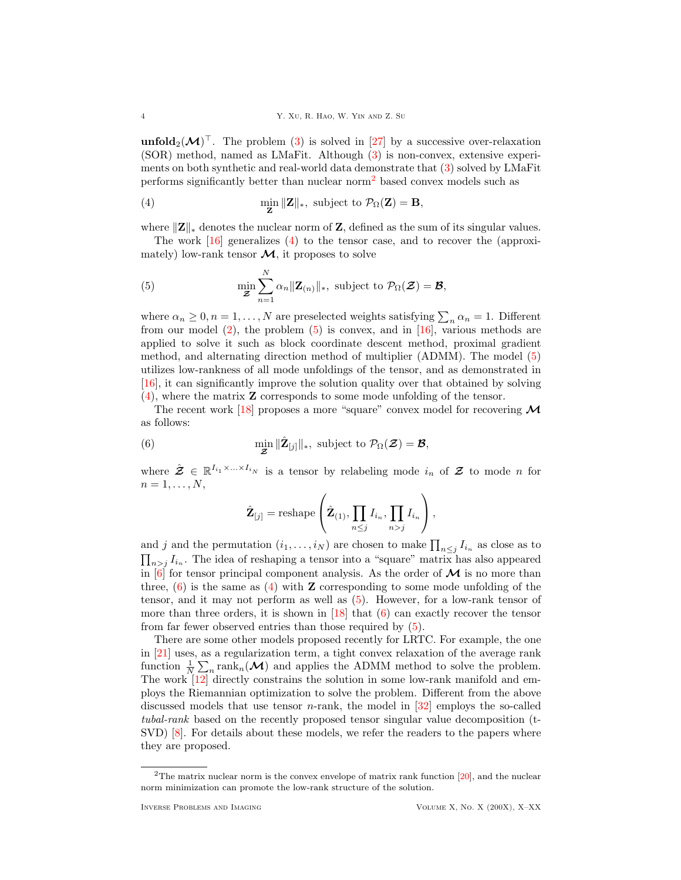**unfold**<sub>2</sub> $(M)$ <sup>T</sup>. The problem [\(3\)](#page-2-2) is solved in [\[27\]](#page-23-8) by a successive over-relaxation (SOR) method, named as LMaFit. Although [\(3\)](#page-2-2) is non-convex, extensive experiments on both synthetic and real-world data demonstrate that [\(3\)](#page-2-2) solved by LMaFit performs significantly better than nuclear norm[2](#page-3-0) based convex models such as

<span id="page-3-1"></span>(4) 
$$
\min_{\mathbf{Z}} \|\mathbf{Z}\|_{*}, \text{ subject to } \mathcal{P}_{\Omega}(\mathbf{Z}) = \mathbf{B},
$$

where  $||\mathbf{Z}||_*$  denotes the nuclear norm of Z, defined as the sum of its singular values.

The work [\[16\]](#page-23-10) generalizes [\(4\)](#page-3-1) to the tensor case, and to recover the (approximately) low-rank tensor  $\mathcal{M}$ , it proposes to solve

<span id="page-3-2"></span>(5) 
$$
\min_{\mathbf{\mathcal{Z}}} \sum_{n=1}^N \alpha_n ||\mathbf{Z}_{(n)}||_*, \text{ subject to } \mathcal{P}_{\Omega}(\mathbf{\mathcal{Z}}) = \mathbf{\mathcal{B}},
$$

where  $\alpha_n \geq 0, n = 1, \ldots, N$  are preselected weights satisfying  $\sum_n \alpha_n = 1$ . Different from our model  $(2)$ , the problem  $(5)$  is convex, and in [\[16\]](#page-23-10), various methods are applied to solve it such as block coordinate descent method, proximal gradient method, and alternating direction method of multiplier (ADMM). The model [\(5\)](#page-3-2) utilizes low-rankness of all mode unfoldings of the tensor, and as demonstrated in [\[16\]](#page-23-10), it can significantly improve the solution quality over that obtained by solving [\(4\)](#page-3-1), where the matrix Z corresponds to some mode unfolding of the tensor.

The recent work [\[18\]](#page-23-15) proposes a more "square" convex model for recovering  $\mathcal M$ as follows:

(6) 
$$
\min_{\mathbf{\mathcal{Z}}} \|\hat{\mathbf{Z}}_{[j]}\|_{*}, \text{ subject to } \mathcal{P}_{\Omega}(\mathbf{\mathcal{Z}}) = \mathbf{\mathcal{B}},
$$

where  $\hat{\mathbf{\mathcal{Z}}}\in\mathbb{R}^{I_{i_1}\times\ldots\times I_{i_N}}$  is a tensor by relabeling mode  $i_n$  of  $\mathbf{\mathcal{Z}}$  to mode n for  $n = 1, \ldots, N$ ,

<span id="page-3-3"></span>
$$
\hat{\mathbf{Z}}_{[j]} = \text{reshape}\left(\hat{\mathbf{Z}}_{(1)}, \prod_{n \leq j} I_{i_n}, \prod_{n > j} I_{i_n}\right),\,
$$

and j and the permutation  $(i_1, \ldots, i_N)$  are chosen to make  $\prod_{n \leq j} I_{i_n}$  as close as to  $\prod_{n> j} I_{i_n}$ . The idea of reshaping a tensor into a "square" matrix has also appeared in  $[6]$  for tensor principal component analysis. As the order of  $\mathcal M$  is no more than three,  $(6)$  is the same as [\(4\)](#page-3-1) with **Z** corresponding to some mode unfolding of the tensor, and it may not perform as well as [\(5\)](#page-3-2). However, for a low-rank tensor of more than three orders, it is shown in  $[18]$  that  $(6)$  can exactly recover the tensor from far fewer observed entries than those required by [\(5\)](#page-3-2).

There are some other models proposed recently for LRTC. For example, the one in [\[21\]](#page-23-17) uses, as a regularization term, a tight convex relaxation of the average rank function  $\frac{1}{N} \sum_{n} \text{rank}_{n}(\mathcal{M})$  and applies the ADMM method to solve the problem. The work [\[12\]](#page-23-18) directly constrains the solution in some low-rank manifold and employs the Riemannian optimization to solve the problem. Different from the above discussed models that use tensor *n*-rank, the model in  $|32|$  employs the so-called tubal-rank based on the recently proposed tensor singular value decomposition (t-SVD) [\[8\]](#page-23-19). For details about these models, we refer the readers to the papers where they are proposed.

<span id="page-3-0"></span> $2$ The matrix nuclear norm is the convex envelope of matrix rank function [\[20\]](#page-23-20), and the nuclear norm minimization can promote the low-rank structure of the solution.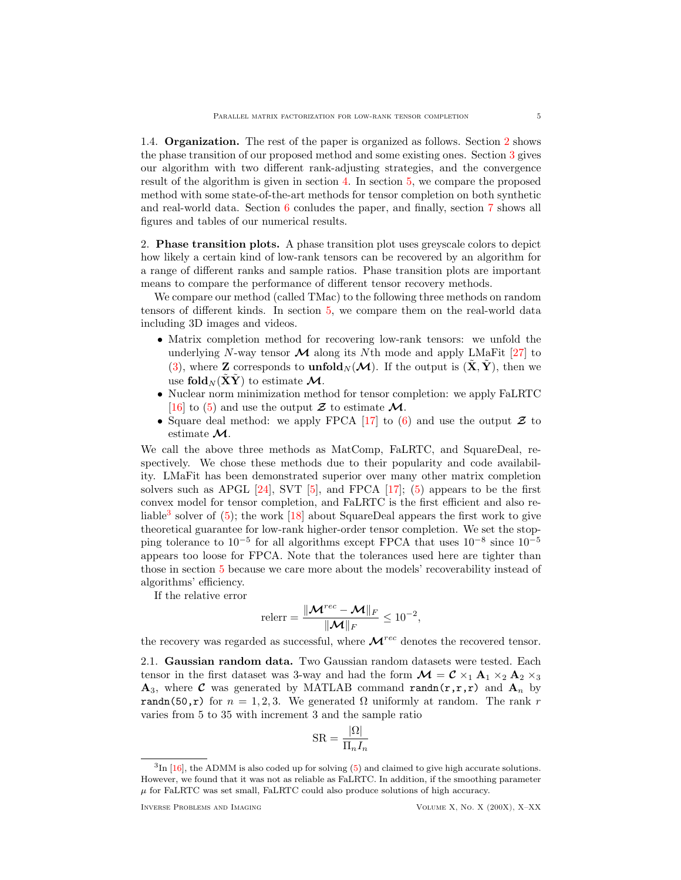1.4. Organization. The rest of the paper is organized as follows. Section [2](#page-4-0) shows the phase transition of our proposed method and some existing ones. Section [3](#page-6-0) gives our algorithm with two different rank-adjusting strategies, and the convergence result of the algorithm is given in section [4.](#page-8-0) In section [5,](#page-12-0) we compare the proposed method with some state-of-the-art methods for tensor completion on both synthetic and real-world data. Section [6](#page-14-0) conludes the paper, and finally, section [7](#page-14-1) shows all figures and tables of our numerical results.

<span id="page-4-0"></span>2. Phase transition plots. A phase transition plot uses greyscale colors to depict how likely a certain kind of low-rank tensors can be recovered by an algorithm for a range of different ranks and sample ratios. Phase transition plots are important means to compare the performance of different tensor recovery methods.

We compare our method (called TMac) to the following three methods on random tensors of different kinds. In section [5,](#page-12-0) we compare them on the real-world data including 3D images and videos.

- Matrix completion method for recovering low-rank tensors: we unfold the underlying N-way tensor  $\mathcal M$  along its Nth mode and apply LMaFit [\[27\]](#page-23-8) to [\(3\)](#page-2-2), where **Z** corresponds to **unfold** $_N(\mathcal{M})$ . If the output is  $(\tilde{\mathbf{X}}, \tilde{\mathbf{Y}})$ , then we use fold  $_N(\tilde{X}\tilde{Y})$  to estimate M.
- Nuclear norm minimization method for tensor completion: we apply FaLRTC [\[16\]](#page-23-10) to [\(5\)](#page-3-2) and use the output  $\mathcal Z$  to estimate  $\mathcal M$ .
- Square deal method: we apply FPCA [\[17\]](#page-23-6) to [\(6\)](#page-3-3) and use the output  $\mathcal Z$  to estimate M.

We call the above three methods as MatComp, FaLRTC, and SquareDeal, respectively. We chose these methods due to their popularity and code availability. LMaFit has been demonstrated superior over many other matrix completion solvers such as APGL [\[24\]](#page-23-7), SVT [\[5\]](#page-23-21), and FPCA [\[17\]](#page-23-6); [\(5\)](#page-3-2) appears to be the first convex model for tensor completion, and FaLRTC is the first efficient and also re-liable<sup>[3](#page-4-1)</sup> solver of [\(5\)](#page-3-2); the work [\[18\]](#page-23-15) about SquareDeal appears the first work to give theoretical guarantee for low-rank higher-order tensor completion. We set the stopping tolerance to  $10^{-5}$  for all algorithms except FPCA that uses  $10^{-8}$  since  $10^{-5}$ appears too loose for FPCA. Note that the tolerances used here are tighter than those in section [5](#page-12-0) because we care more about the models' recoverability instead of algorithms' efficiency.

If the relative error

$$
\text{relerr} = \frac{\lVert \boldsymbol{\mathcal{M}}^{rec} - \boldsymbol{\mathcal{M}} \rVert_F}{\lVert \boldsymbol{\mathcal{M}} \rVert_F} \leq 10^{-2},
$$

the recovery was regarded as successful, where  $\mathcal{M}^{rec}$  denotes the recovered tensor.

<span id="page-4-2"></span>2.1. Gaussian random data. Two Gaussian random datasets were tested. Each tensor in the first dataset was 3-way and had the form  $\mathcal{M} = \mathcal{C} \times_1 \mathbf{A}_1 \times_2 \mathbf{A}_2 \times_3$  $\mathbf{A}_3$ , where C was generated by MATLAB command randn(r,r,r) and  $\mathbf{A}_n$  by randn(50,r) for  $n = 1, 2, 3$ . We generated  $\Omega$  uniformly at random. The rank r varies from 5 to 35 with increment 3 and the sample ratio

$$
SR = \frac{|\Omega|}{\Pi_n I_n}
$$

<span id="page-4-1"></span><sup>&</sup>lt;sup>3</sup>In [\[16\]](#page-23-10), the ADMM is also coded up for solving [\(5\)](#page-3-2) and claimed to give high accurate solutions. However, we found that it was not as reliable as FaLRTC. In addition, if the smoothing parameter  $\mu$  for FaLRTC was set small, FaLRTC could also produce solutions of high accuracy.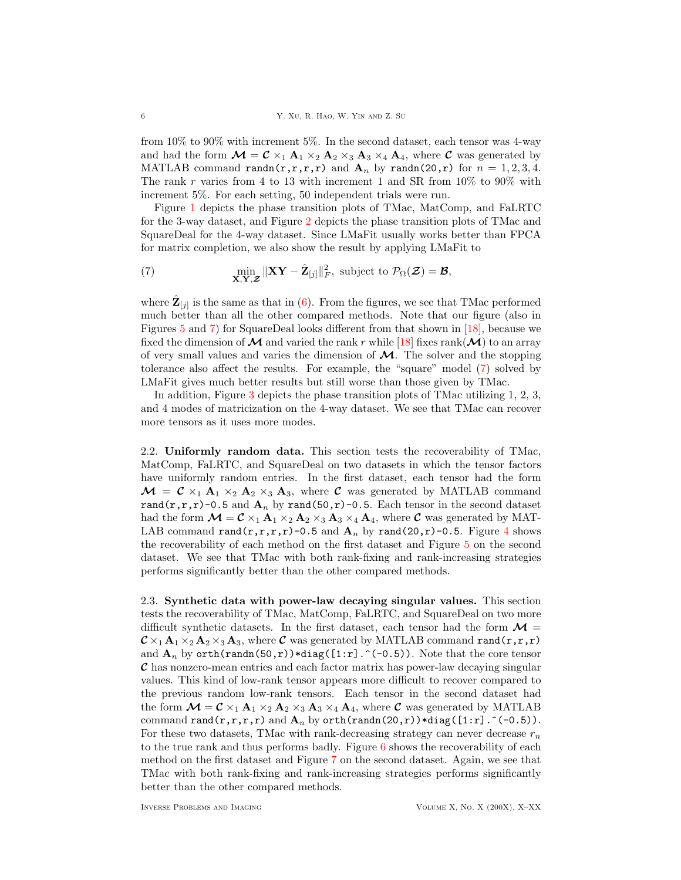from 10% to 90% with increment 5%. In the second dataset, each tensor was 4-way and had the form  $\mathcal{M} = \mathcal{C} \times_1 \mathbf{A}_1 \times_2 \mathbf{A}_2 \times_3 \mathbf{A}_3 \times_4 \mathbf{A}_4$ , where  $\mathcal{C}$  was generated by MATLAB command randn(r,r,r,r) and  $A_n$  by randn(20,r) for  $n = 1, 2, 3, 4$ . The rank r varies from 4 to 13 with increment 1 and SR from  $10\%$  to  $90\%$  with increment 5%. For each setting, 50 independent trials were run.

Figure [1](#page-15-0) depicts the phase transition plots of TMac, MatComp, and FaLRTC for the 3-way dataset, and Figure [2](#page-15-1) depicts the phase transition plots of TMac and SquareDeal for the 4-way dataset. Since LMaFit usually works better than FPCA for matrix completion, we also show the result by applying LMaFit to

<span id="page-5-0"></span>(7) 
$$
\min_{\mathbf{X}, \mathbf{Y}, \mathbf{Z}} \|\mathbf{X}\mathbf{Y} - \hat{\mathbf{Z}}_{[j]}\|_F^2, \text{ subject to } \mathcal{P}_{\Omega}(\mathbf{Z}) = \mathbf{\mathcal{B}},
$$

where  $\hat{\mathbf{Z}}_{[j]}$  is the same as that in [\(6\)](#page-3-3). From the figures, we see that TMac performed much better than all the other compared methods. Note that our figure (also in Figures [5](#page-17-0) and [7\)](#page-18-0) for SquareDeal looks different from that shown in [\[18\]](#page-23-15), because we fixed the dimension of  $\mathcal M$  and varied the rank r while [\[18\]](#page-23-15) fixes rank( $\mathcal M$ ) to an array of very small values and varies the dimension of  $\mathcal{M}$ . The solver and the stopping tolerance also affect the results. For example, the "square" model [\(7\)](#page-5-0) solved by LMaFit gives much better results but still worse than those given by TMac.

In addition, Figure [3](#page-16-0) depicts the phase transition plots of TMac utilizing 1, 2, 3, and 4 modes of matricization on the 4-way dataset. We see that TMac can recover more tensors as it uses more modes.

2.2. Uniformly random data. This section tests the recoverability of TMac, MatComp, FaLRTC, and SquareDeal on two datasets in which the tensor factors have uniformly random entries. In the first dataset, each tensor had the form  $\mathcal{M} = \mathcal{C} \times_1 \mathbf{A}_1 \times_2 \mathbf{A}_2 \times_3 \mathbf{A}_3$ , where  $\mathcal{C}$  was generated by MATLAB command rand(r,r,r)-0.5 and  $A_n$  by rand(50,r)-0.5. Each tensor in the second dataset had the form  $\mathcal{M} = \mathcal{C} \times_1 \mathbf{A}_1 \times_2 \mathbf{A}_2 \times_3 \mathbf{A}_3 \times_4 \mathbf{A}_4$ , where  $\mathcal{C}$  was generated by MAT-LAB command rand(r,r,r,r)-0.5 and  $A_n$  by rand(20,r)-0.5. Figure [4](#page-16-1) shows the recoverability of each method on the first dataset and Figure [5](#page-17-0) on the second dataset. We see that TMac with both rank-fixing and rank-increasing strategies performs significantly better than the other compared methods.

2.3. Synthetic data with power-law decaying singular values. This section tests the recoverability of TMac, MatComp, FaLRTC, and SquareDeal on two more difficult synthetic datasets. In the first dataset, each tensor had the form  $\mathcal{M} =$  $\mathcal{C} \times_1 \mathbf{A}_1 \times_2 \mathbf{A}_2 \times_3 \mathbf{A}_3$ , where  $\mathcal{C}$  was generated by MATLAB command rand(r,r,r) and  $\mathbf{A}_n$  by orth(randn(50,r))\*diag([1:r].^(-0.5)). Note that the core tensor C has nonzero-mean entries and each factor matrix has power-law decaying singular values. This kind of low-rank tensor appears more difficult to recover compared to the previous random low-rank tensors. Each tensor in the second dataset had the form  $\mathcal{M} = \mathcal{C} \times_1 \mathbf{A}_1 \times_2 \mathbf{A}_2 \times_3 \mathbf{A}_3 \times_4 \mathbf{A}_4$ , where  $\mathcal{C}$  was generated by MATLAB command rand(r,r,r,r) and  $\mathbf{A}_n$  by orth(randn(20,r))\*diag([1:r].^(-0.5)). For these two datasets, TMac with rank-decreasing strategy can never decrease  $r_n$ to the true rank and thus performs badly. Figure [6](#page-17-1) shows the recoverability of each method on the first dataset and Figure [7](#page-18-0) on the second dataset. Again, we see that TMac with both rank-fixing and rank-increasing strategies performs significantly better than the other compared methods.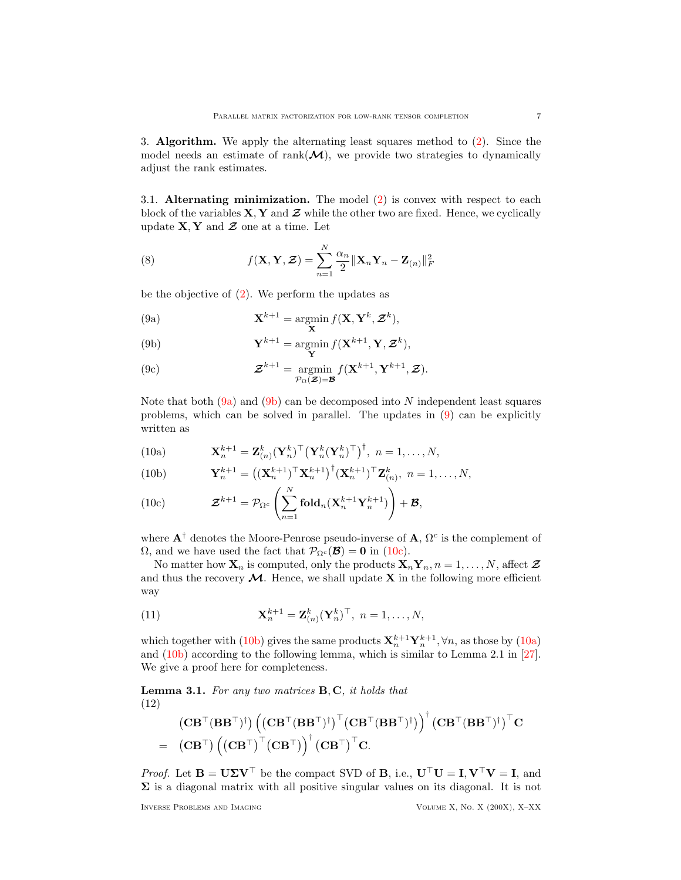<span id="page-6-0"></span>3. Algorithm. We apply the alternating least squares method to [\(2\)](#page-2-1). Since the model needs an estimate of rank $(\mathcal{M})$ , we provide two strategies to dynamically adjust the rank estimates.

3.1. Alternating minimization. The model  $(2)$  is convex with respect to each block of the variables  $X, Y$  and  $Z$  while the other two are fixed. Hence, we cyclically update  $X, Y$  and  $Z$  one at a time. Let

(8) 
$$
f(\mathbf{X}, \mathbf{Y}, \mathcal{Z}) = \sum_{n=1}^{N} \frac{\alpha_n}{2} ||\mathbf{X}_n \mathbf{Y}_n - \mathbf{Z}_{(n)}||_F^2
$$

<span id="page-6-3"></span>be the objective of  $(2)$ . We perform the updates as

<span id="page-6-1"></span>(9a) 
$$
\mathbf{X}^{k+1} = \operatorname*{argmin}_{\mathbf{X}} f(\mathbf{X}, \mathbf{Y}^k, \mathcal{Z}^k),
$$

<span id="page-6-2"></span>(9b) 
$$
\mathbf{Y}^{k+1} = \operatorname*{argmin}_{\mathbf{Y}} f(\mathbf{X}^{k+1}, \mathbf{Y}, \mathbf{Z}^k),
$$

<span id="page-6-10"></span>(9c) 
$$
\mathcal{Z}^{k+1} = \operatorname*{argmin}_{\mathcal{P}_{\Omega}(\mathcal{Z})=\mathcal{B}} f(\mathbf{X}^{k+1}, \mathbf{Y}^{k+1}, \mathcal{Z}).
$$

Note that both  $(9a)$  and  $(9b)$  can be decomposed into N independent least squares problems, which can be solved in parallel. The updates in [\(9\)](#page-6-3) can be explicitly written as

<span id="page-6-6"></span>(10a) 
$$
\mathbf{X}_n^{k+1} = \mathbf{Z}_{(n)}^k (\mathbf{Y}_n^k)^\top (\mathbf{Y}_n^k (\mathbf{Y}_n^k)^\top)^\dagger, \quad n = 1, \ldots, N,
$$

<span id="page-6-5"></span>(10b) 
$$
\mathbf{Y}_n^{k+1} = ((\mathbf{X}_n^{k+1})^\top \mathbf{X}_n^{k+1})^\dagger (\mathbf{X}_n^{k+1})^\top \mathbf{Z}_{(n)}^k, \ n = 1, \dots, N,
$$

<span id="page-6-4"></span>(10c) 
$$
\mathcal{Z}^{k+1} = \mathcal{P}_{\Omega^c}\left(\sum_{n=1}^N \mathbf{fold}_n(\mathbf{X}_n^{k+1}\mathbf{Y}_n^{k+1})\right) + \mathcal{B},
$$

where  $A^{\dagger}$  denotes the Moore-Penrose pseudo-inverse of A,  $\Omega^{c}$  is the complement of  $\Omega$ , and we have used the fact that  $\mathcal{P}_{\Omega^c}(\mathcal{B}) = 0$  in [\(10c\)](#page-6-4).

No matter how  $\mathbf{X}_n$  is computed, only the products  $\mathbf{X}_n \mathbf{Y}_n$ ,  $n = 1, \ldots, N$ , affect  $\mathbf{Z}$ and thus the recovery  $\mathcal{M}$ . Hence, we shall update **X** in the following more efficient way

<span id="page-6-8"></span>(11) 
$$
\mathbf{X}_n^{k+1} = \mathbf{Z}_{(n)}^k (\mathbf{Y}_n^k)^\top, \quad n = 1, \dots, N,
$$

which together with [\(10b\)](#page-6-5) gives the same products  $\mathbf{X}_n^{k+1} \mathbf{Y}_n^{k+1}$ ,  $\forall n$ , as those by [\(10a\)](#page-6-6) and [\(10b\)](#page-6-5) according to the following lemma, which is similar to Lemma 2.1 in [\[27\]](#page-23-8). We give a proof here for completeness.

<span id="page-6-9"></span>**Lemma 3.1.** For any two matrices  $B, C$ , it holds that (12)

<span id="page-6-7"></span>
$$
\begin{aligned} &\left(\mathbf{C}\mathbf{B}^\top (\mathbf{B}\mathbf{B}^\top)^\dagger\right) \left(\left(\mathbf{C}\mathbf{B}^\top (\mathbf{B}\mathbf{B}^\top)^\dagger\right)^\top \left(\mathbf{C}\mathbf{B}^\top (\mathbf{B}\mathbf{B}^\top)^\dagger\right)\right)^\dagger \left(\mathbf{C}\mathbf{B}^\top (\mathbf{B}\mathbf{B}^\top)^\dagger\right)^\top \mathbf{C} \\ =& \left(\mathbf{C}\mathbf{B}^\top\right) \left(\left(\mathbf{C}\mathbf{B}^\top\right)^\top \left(\mathbf{C}\mathbf{B}^\top\right)\right)^\dagger \left(\mathbf{C}\mathbf{B}^\top\right)^\top \mathbf{C}. \end{aligned}
$$

*Proof.* Let  $\mathbf{B} = \mathbf{U} \Sigma \mathbf{V}^{\top}$  be the compact SVD of **B**, i.e.,  $\mathbf{U}^{\top} \mathbf{U} = \mathbf{I}, \mathbf{V}^{\top} \mathbf{V} = \mathbf{I}$ , and  $\Sigma$  is a diagonal matrix with all positive singular values on its diagonal. It is not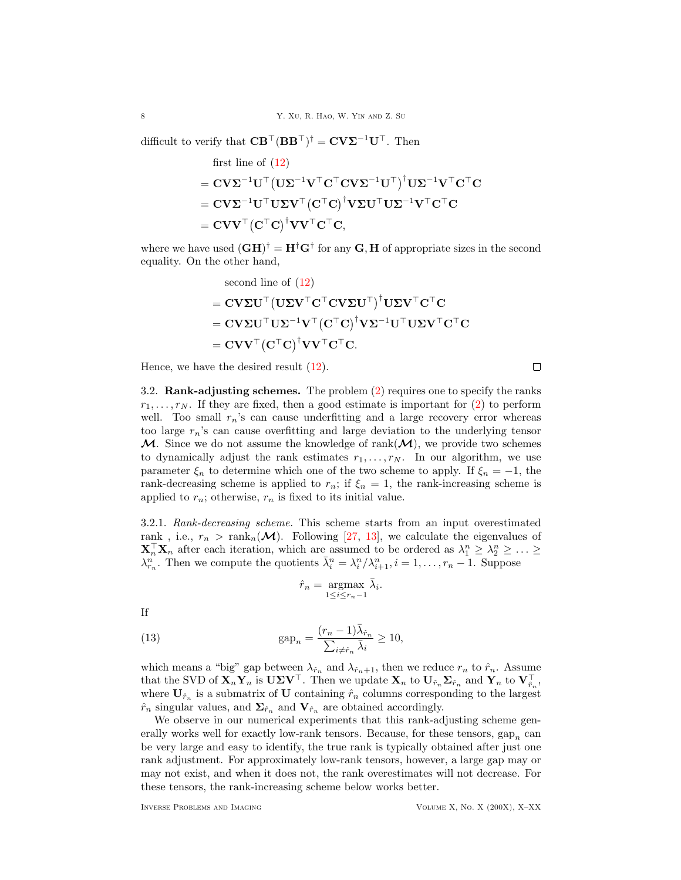difficult to verify that  $\mathbf{C}\mathbf{B}^{\top}(\mathbf{B}\mathbf{B}^{\top})^{\dagger} = \mathbf{C}\mathbf{V}\mathbf{\Sigma}^{-1}\mathbf{U}^{\top}$ . Then

first line of (12)  
\n
$$
= \mathbf{C} \mathbf{V} \mathbf{\Sigma}^{-1} \mathbf{U}^{\top} (\mathbf{U} \mathbf{\Sigma}^{-1} \mathbf{V}^{\top} \mathbf{C}^{\top} \mathbf{C} \mathbf{V} \mathbf{\Sigma}^{-1} \mathbf{U}^{\top})^{\dagger} \mathbf{U} \mathbf{\Sigma}^{-1} \mathbf{V}^{\top} \mathbf{C}^{\top} \mathbf{C}
$$
\n
$$
= \mathbf{C} \mathbf{V} \mathbf{\Sigma}^{-1} \mathbf{U}^{\top} \mathbf{U} \mathbf{\Sigma} \mathbf{V}^{\top} (\mathbf{C}^{\top} \mathbf{C})^{\dagger} \mathbf{V} \mathbf{\Sigma} \mathbf{U}^{\top} \mathbf{U} \mathbf{\Sigma}^{-1} \mathbf{V}^{\top} \mathbf{C}^{\top} \mathbf{C}
$$
\n
$$
= \mathbf{C} \mathbf{V} \mathbf{V}^{\top} (\mathbf{C}^{\top} \mathbf{C})^{\dagger} \mathbf{V} \mathbf{V}^{\top} \mathbf{C}^{\top} \mathbf{C},
$$

where we have used  $(\mathbf{G}\mathbf{H})^{\dagger} = \mathbf{H}^{\dagger}\mathbf{G}^{\dagger}$  for any  $\mathbf{G}, \mathbf{H}$  of appropriate sizes in the second equality. On the other hand,

second line of (12)  
\n
$$
= \mathbf{CV} \Sigma \mathbf{U}^\top (\mathbf{U} \Sigma \mathbf{V}^\top \mathbf{C}^\top \mathbf{CV} \Sigma \mathbf{U}^\top)^\dagger \mathbf{U} \Sigma \mathbf{V}^\top \mathbf{C}^\top \mathbf{C}
$$
\n
$$
= \mathbf{CV} \Sigma \mathbf{U}^\top \mathbf{U} \Sigma^{-1} \mathbf{V}^\top (\mathbf{C}^\top \mathbf{C})^\dagger \mathbf{V} \Sigma^{-1} \mathbf{U}^\top \mathbf{U} \Sigma \mathbf{V}^\top \mathbf{C}^\top \mathbf{C}
$$
\n
$$
= \mathbf{CV} \mathbf{V}^\top (\mathbf{C}^\top \mathbf{C})^\dagger \mathbf{V} \mathbf{V}^\top \mathbf{C}^\top \mathbf{C}.
$$

Hence, we have the desired result  $(12)$ .

3.2. Rank-adjusting schemes. The problem [\(2\)](#page-2-1) requires one to specify the ranks  $r_1, \ldots, r_N$ . If they are fixed, then a good estimate is important for [\(2\)](#page-2-1) to perform well. Too small  $r_n$ 's can cause underfitting and a large recovery error whereas too large  $r_n$ 's can cause overfitting and large deviation to the underlying tensor  $M$ . Since we do not assume the knowledge of rank $(M)$ , we provide two schemes to dynamically adjust the rank estimates  $r_1, \ldots, r_N$ . In our algorithm, we use parameter  $\xi_n$  to determine which one of the two scheme to apply. If  $\xi_n = -1$ , the rank-decreasing scheme is applied to  $r_n$ ; if  $\xi_n = 1$ , the rank-increasing scheme is applied to  $r_n$ ; otherwise,  $r_n$  is fixed to its initial value.

<span id="page-7-0"></span>3.2.1. Rank-decreasing scheme. This scheme starts from an input overestimated rank, i.e.,  $r_n > \text{rank}_n(\mathcal{M})$ . Following [\[27,](#page-23-8) [13\]](#page-23-9), we calculate the eigenvalues of  $\mathbf{X}_n^{\top} \mathbf{X}_n$  after each iteration, which are assumed to be ordered as  $\lambda_1^n \geq \lambda_2^n \geq \ldots \geq$  $\lambda_{r_n}^n$ . Then we compute the quotients  $\bar{\lambda}_i^n = \lambda_i^n / \lambda_{i+1}^n$ ,  $i = 1, \ldots, r_n - 1$ . Suppose

$$
\hat{r}_n = \underset{1 \le i \le r_n - 1}{\operatorname{argmax}} \bar{\lambda}_i.
$$

If

(13) 
$$
\text{gap}_n = \frac{(r_n - 1)\bar{\lambda}_{\hat{r}_n}}{\sum_{i \neq \hat{r}_n} \bar{\lambda}_i} \ge 10,
$$

which means a "big" gap between  $\lambda_{\hat{r}_n}$  and  $\lambda_{\hat{r}_n+1}$ , then we reduce  $r_n$  to  $\hat{r}_n$ . Assume that the SVD of  $\mathbf{X}_n \mathbf{Y}_n$  is  $\mathbf{U} \Sigma \mathbf{V}^\top$ . Then we update  $\mathbf{X}_n$  to  $\mathbf{U}_{\hat{r}_n} \mathbf{\Sigma}_{\hat{r}_n}$  and  $\mathbf{Y}_n$  to  $\mathbf{V}_{\hat{r}_n}^\top$ , where  $U_{\hat{r}_n}$  is a submatrix of U containing  $\hat{r}_n$  columns corresponding to the largest  $\hat{r}_n$  singular values, and  $\Sigma_{\hat{r}_n}$  and  $\mathbf{V}_{\hat{r}_n}$  are obtained accordingly.

We observe in our numerical experiments that this rank-adjusting scheme generally works well for exactly low-rank tensors. Because, for these tensors,  $\text{gap}_n$  can be very large and easy to identify, the true rank is typically obtained after just one rank adjustment. For approximately low-rank tensors, however, a large gap may or may not exist, and when it does not, the rank overestimates will not decrease. For these tensors, the rank-increasing scheme below works better.

 $\Box$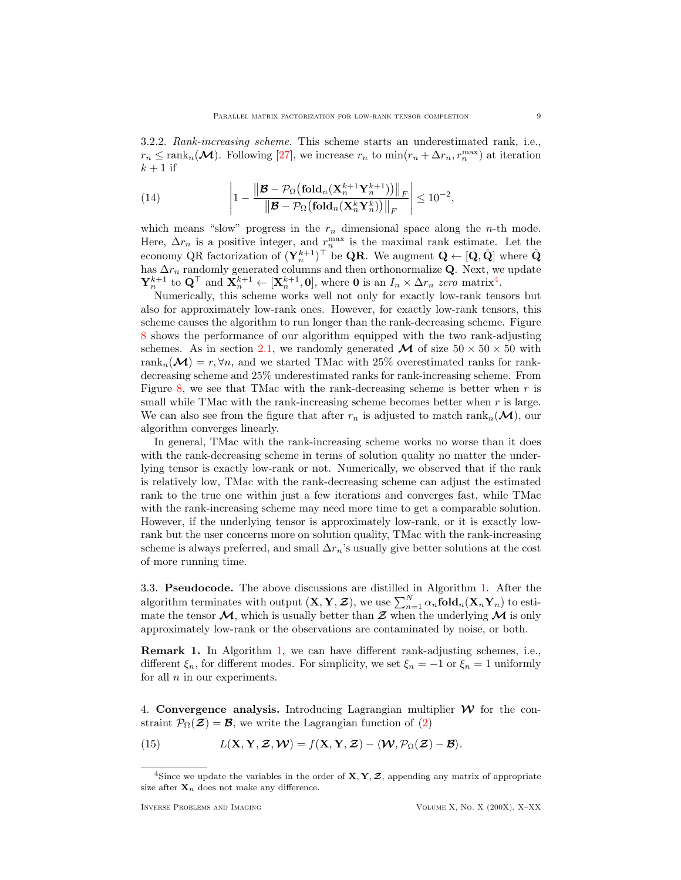<span id="page-8-2"></span>3.2.2. Rank-increasing scheme. This scheme starts an underestimated rank, i.e.,  $r_n \leq \text{rank}_n(\mathcal{M})$ . Following [\[27\]](#page-23-8), we increase  $r_n$  to  $\min(r_n + \Delta r_n, r_n^{\max})$  at iteration  $k + 1$  if

(14) 
$$
\left|1 - \frac{\left\|\mathcal{B} - \mathcal{P}_{\Omega}(\mathbf{fold}_n(\mathbf{X}_n^{k+1}\mathbf{Y}_n^{k+1}))\right\|_F}{\left\|\mathcal{B} - \mathcal{P}_{\Omega}(\mathbf{fold}_n(\mathbf{X}_n^k\mathbf{Y}_n^k))\right\|_F}\right| \leq 10^{-2},
$$

which means "slow" progress in the  $r_n$  dimensional space along the *n*-th mode. Here,  $\Delta r_n$  is a positive integer, and  $r_n^{\max}$  is the maximal rank estimate. Let the economy QR factorization of  $(\mathbf{Y}_n^{k+1})^{\top}$  be **QR**. We augment  $\mathbf{Q} \leftarrow [\mathbf{Q}, \hat{\mathbf{Q}}]$  where  $\hat{\mathbf{Q}}$ has  $\Delta r_n$  randomly generated columns and then orthonormalize Q. Next, we update  $\mathbf{Y}_n^{k+1}$  to  $\mathbf{Q}^{\top}$  and  $\mathbf{X}_n^{k+1} \leftarrow [\mathbf{X}_n^{k+1}, \mathbf{0}],$  where **0** is an  $I_n \times \Delta r_n$  zero matrix<sup>[4](#page-8-1)</sup>.

Numerically, this scheme works well not only for exactly low-rank tensors but also for approximately low-rank ones. However, for exactly low-rank tensors, this scheme causes the algorithm to run longer than the rank-decreasing scheme. Figure [8](#page-18-1) shows the performance of our algorithm equipped with the two rank-adjusting schemes. As in section [2.1,](#page-4-2) we randomly generated  $\mathcal{M}$  of size  $50 \times 50 \times 50$  with rank<sub>n</sub>( $\mathcal{M}$ ) = r,  $\forall n$ , and we started TMac with 25% overestimated ranks for rankdecreasing scheme and 25% underestimated ranks for rank-increasing scheme. From Figure [8,](#page-18-1) we see that TMac with the rank-decreasing scheme is better when  $r$  is small while TMac with the rank-increasing scheme becomes better when  $r$  is large. We can also see from the figure that after  $r_n$  is adjusted to match rank<sub>n</sub>( $\mathcal{M}$ ), our algorithm converges linearly.

In general, TMac with the rank-increasing scheme works no worse than it does with the rank-decreasing scheme in terms of solution quality no matter the underlying tensor is exactly low-rank or not. Numerically, we observed that if the rank is relatively low, TMac with the rank-decreasing scheme can adjust the estimated rank to the true one within just a few iterations and converges fast, while TMac with the rank-increasing scheme may need more time to get a comparable solution. However, if the underlying tensor is approximately low-rank, or it is exactly lowrank but the user concerns more on solution quality, TMac with the rank-increasing scheme is always preferred, and small  $\Delta r_n$ 's usually give better solutions at the cost of more running time.

3.3. Pseudocode. The above discussions are distilled in Algorithm [1.](#page-9-0) After the algorithm terminates with output  $(X, Y, Z)$ , we use  $\sum_{n=1}^{N} \alpha_n \text{fold}_n(X_n Y_n)$  to estimate the tensor  $\mathcal{M}$ , which is usually better than  $\mathcal Z$  when the underlying  $\mathcal M$  is only approximately low-rank or the observations are contaminated by noise, or both.

Remark 1. In Algorithm [1,](#page-9-0) we can have different rank-adjusting schemes, i.e., different  $\xi_n$ , for different modes. For simplicity, we set  $\xi_n = -1$  or  $\xi_n = 1$  uniformly for all  $n$  in our experiments.

<span id="page-8-0"></span>4. Convergence analysis. Introducing Lagrangian multiplier  $\mathcal W$  for the constraint  $\mathcal{P}_{\Omega}(\mathcal{Z}) = \mathcal{B}$ , we write the Lagrangian function of [\(2\)](#page-2-1)

(15) 
$$
L(\mathbf{X}, \mathbf{Y}, \mathcal{Z}, \mathcal{W}) = f(\mathbf{X}, \mathbf{Y}, \mathcal{Z}) - \langle \mathcal{W}, \mathcal{P}_{\Omega}(\mathcal{Z}) - \mathcal{B} \rangle.
$$

<span id="page-8-1"></span><sup>&</sup>lt;sup>4</sup>Since we update the variables in the order of  $X, Y, Z$ , appending any matrix of appropriate size after  $\mathbf{X}_n$  does not make any difference.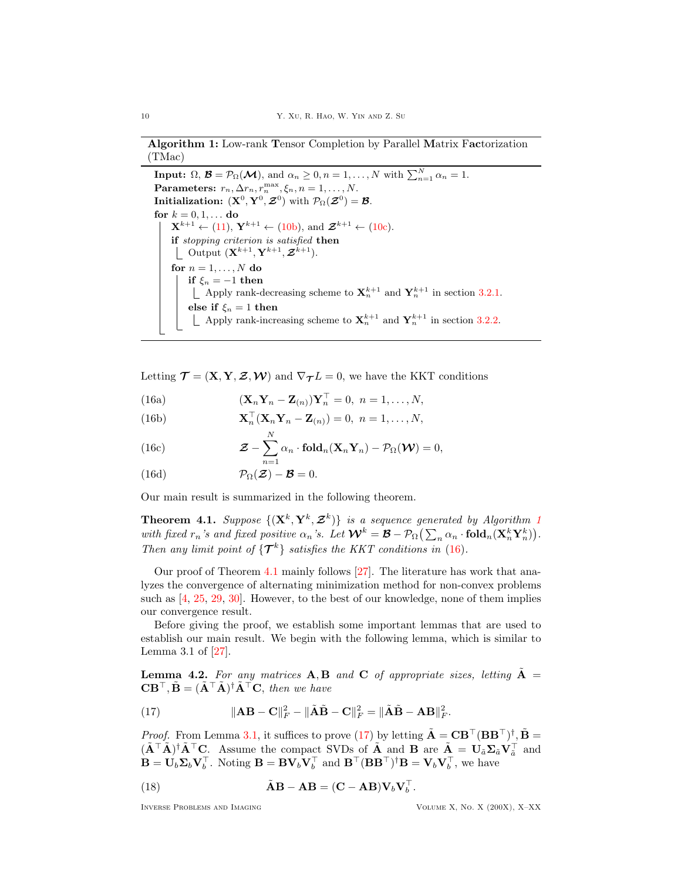# Algorithm 1: Low-rank Tensor Completion by Parallel Matrix Factorization (TMac)

<span id="page-9-0"></span>**Input:**  $\Omega$ ,  $\mathcal{B} = \mathcal{P}_{\Omega}(\mathcal{M})$ , and  $\alpha_n \geq 0$ ,  $n = 1, ..., N$  with  $\sum_{n=1}^{N} \alpha_n = 1$ . Parameters:  $r_n, \Delta r_n, r_n^{\max}, \xi_n, n = 1, \ldots, N$ . Initialization:  $({\bf X}^0, {\bf Y}^0, {\cal Z}^0)$  with  ${\cal P}_\Omega({\cal Z}^0)={\cal B}.$ for  $k = 0, 1, \ldots$  do  $\mathbf{X}^{k+1} \leftarrow (11), \ \mathbf{Y}^{k+1} \leftarrow (10b), \text{ and } \mathcal{Z}^{k+1} \leftarrow (10c).$  $\mathbf{X}^{k+1} \leftarrow (11), \ \mathbf{Y}^{k+1} \leftarrow (10b), \text{ and } \mathcal{Z}^{k+1} \leftarrow (10c).$  $\mathbf{X}^{k+1} \leftarrow (11), \ \mathbf{Y}^{k+1} \leftarrow (10b), \text{ and } \mathcal{Z}^{k+1} \leftarrow (10c).$  $\mathbf{X}^{k+1} \leftarrow (11), \ \mathbf{Y}^{k+1} \leftarrow (10b), \text{ and } \mathcal{Z}^{k+1} \leftarrow (10c).$  $\mathbf{X}^{k+1} \leftarrow (11), \ \mathbf{Y}^{k+1} \leftarrow (10b), \text{ and } \mathcal{Z}^{k+1} \leftarrow (10c).$  $\mathbf{X}^{k+1} \leftarrow (11), \ \mathbf{Y}^{k+1} \leftarrow (10b), \text{ and } \mathcal{Z}^{k+1} \leftarrow (10c).$  $\mathbf{X}^{k+1} \leftarrow (11), \ \mathbf{Y}^{k+1} \leftarrow (10b), \text{ and } \mathcal{Z}^{k+1} \leftarrow (10c).$ if stopping criterion is satisfied then Output  $(\mathbf{X}^{k+1}, \mathbf{Y}^{k+1}, \boldsymbol{\mathcal{Z}}^{k+1}).$ for  $n=1,\ldots,N$  do if  $\xi_n = -1$  then Apply rank-decreasing scheme to  $\mathbf{X}_n^{k+1}$  and  $\mathbf{Y}_n^{k+1}$  in section [3.2.1.](#page-7-0) else if  $\xi_n = 1$  then Apply rank-increasing scheme to  $\mathbf{X}_{n}^{k+1}$  and  $\mathbf{Y}_{n}^{k+1}$  in section [3.2.2.](#page-8-2)

Letting  $\mathcal{T} = (\mathbf{X}, \mathbf{Y}, \mathcal{Z}, \mathcal{W})$  and  $\nabla_{\mathcal{T}} L = 0$ , we have the KKT conditions

<span id="page-9-8"></span>(16a)  $(\mathbf{X}_n \mathbf{Y}_n - \mathbf{Z}_{(n)}) \mathbf{Y}_n^{\top} = 0, \quad n = 1, \dots, N,$ 

<span id="page-9-9"></span>(16b) 
$$
\mathbf{X}_n^\top (\mathbf{X}_n \mathbf{Y}_n - \mathbf{Z}_{(n)}) = 0, \quad n = 1, \dots, N,
$$

<span id="page-9-1"></span> $\overline{N}$ 

<span id="page-9-5"></span>(16c) 
$$
\mathcal{Z} - \sum_{n=1}^{N} \alpha_n \cdot \mathbf{fold}_n (\mathbf{X}_n \mathbf{Y}_n) - \mathcal{P}_{\Omega}(\mathbf{W}) = 0,
$$

<span id="page-9-6"></span>(16d) 
$$
\mathcal{P}_{\Omega}(\mathcal{Z})-\mathcal{B}=0.
$$

Our main result is summarized in the following theorem.

<span id="page-9-2"></span>**Theorem 4.[1](#page-9-0).** Suppose  $\{(\mathbf{X}^k, \mathbf{Y}^k, \mathcal{Z}^k)\}\$ is a sequence generated by Algorithm 1 with fixed  $r_n$ 's and fixed positive  $\alpha_n$ 's. Let  $\mathcal{W}^k = \mathcal{B} - \mathcal{P}_{\Omega}(\sum_n \alpha_n \cdot \text{fold}_n(\mathbf{X}_n^k \mathbf{Y}_n^k)).$ Then any limit point of  $\{\mathcal{T}^k\}$  satisfies the KKT conditions in [\(16\)](#page-9-1).

Our proof of Theorem [4.1](#page-9-2) mainly follows [\[27\]](#page-23-8). The literature has work that analyzes the convergence of alternating minimization method for non-convex problems such as  $[4, 25, 29, 30]$  $[4, 25, 29, 30]$  $[4, 25, 29, 30]$  $[4, 25, 29, 30]$  $[4, 25, 29, 30]$  $[4, 25, 29, 30]$  $[4, 25, 29, 30]$ . However, to the best of our knowledge, none of them implies our convergence result.

Before giving the proof, we establish some important lemmas that are used to establish our main result. We begin with the following lemma, which is similar to Lemma 3.1 of [\[27\]](#page-23-8).

<span id="page-9-7"></span>**Lemma 4.2.** For any matrices  $\mathbf{A}, \mathbf{B}$  and  $\mathbf{C}$  of appropriate sizes, letting  $\mathbf{A} =$  $\mathbf{C}\mathbf{B}^{\top}, \tilde{\mathbf{B}} = (\tilde{\mathbf{A}}^{\top} \tilde{\mathbf{A}})^{\dagger} \tilde{\mathbf{A}}^{\top} \mathbf{C}, \text{ then we have}$ 

<span id="page-9-3"></span>(17) 
$$
\|\mathbf{A}\mathbf{B} - \mathbf{C}\|_F^2 - \|\tilde{\mathbf{A}}\tilde{\mathbf{B}} - \mathbf{C}\|_F^2 = \|\tilde{\mathbf{A}}\tilde{\mathbf{B}} - \mathbf{A}\mathbf{B}\|_F^2.
$$

*Proof.* From Lemma [3.1,](#page-6-9) it suffices to prove [\(17\)](#page-9-3) by letting  $\tilde{\mathbf{A}} = \mathbf{C} \mathbf{B}^\top (\mathbf{B} \mathbf{B}^\top)^\dagger$ ,  $\tilde{\mathbf{B}} =$  $(\tilde{\mathbf{A}}^{\top}\tilde{\mathbf{A}})^{\dagger}\tilde{\mathbf{A}}^{\top}\mathbf{C}$ . Assume the compact SVDs of  $\tilde{\mathbf{A}}$  and  $\mathbf{B}$  are  $\tilde{\mathbf{A}} = \mathbf{U}_{\tilde{a}}\Sigma_{\tilde{a}}\mathbf{V}_{\tilde{a}}^{\top}$  and  $\mathbf{B} = \mathbf{U}_b \mathbf{\Sigma}_b \mathbf{V}_b^{\top}$ . Noting  $\mathbf{B} = \mathbf{B} \mathbf{V}_b \mathbf{V}_b^{\top}$  and  $\mathbf{B}^{\top} (\mathbf{B} \mathbf{B}^{\top})^{\dagger} \mathbf{B} = \mathbf{V}_b \mathbf{V}_b^{\top}$ , we have

<span id="page-9-4"></span>(18) 
$$
\tilde{\mathbf{A}}\mathbf{B} - \mathbf{A}\mathbf{B} = (\mathbf{C} - \mathbf{A}\mathbf{B})\mathbf{V}_b\mathbf{V}_b^\top.
$$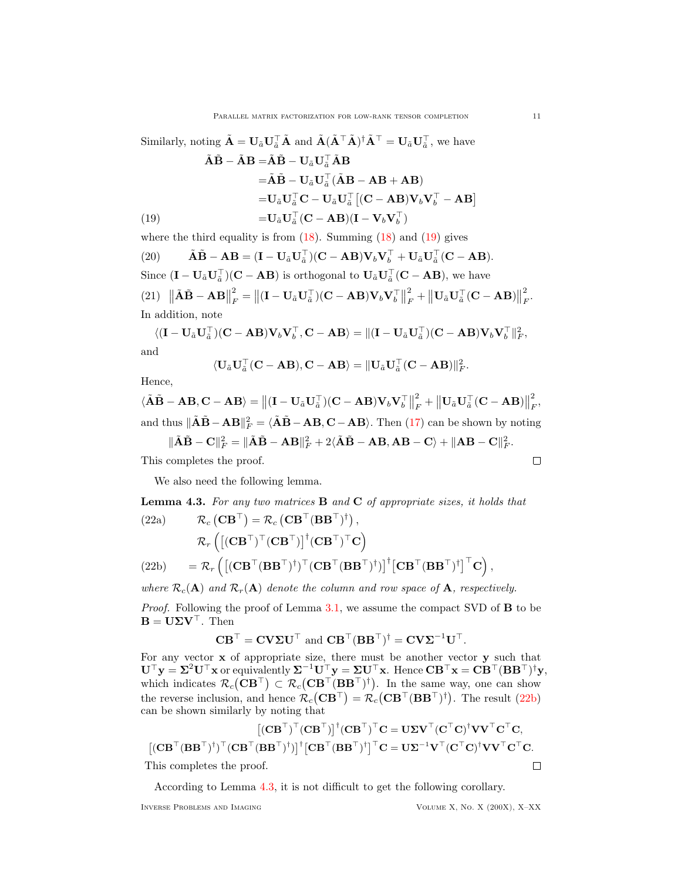Similarly, noting 
$$
\tilde{\mathbf{A}} = \mathbf{U}_{\tilde{a}} \mathbf{U}_{\tilde{a}}^{\top} \tilde{\mathbf{A}}
$$
 and  $\tilde{\mathbf{A}} (\tilde{\mathbf{A}}^{\top} \tilde{\mathbf{A}})^{\dagger} \tilde{\mathbf{A}}^{\top} = \mathbf{U}_{\tilde{a}} \mathbf{U}_{\tilde{a}}^{\top}$ , we have  
\n
$$
\tilde{\mathbf{A}} \tilde{\mathbf{B}} - \tilde{\mathbf{A}} \mathbf{B} = \tilde{\mathbf{A}} \tilde{\mathbf{B}} - \mathbf{U}_{\tilde{a}} \mathbf{U}_{\tilde{a}}^{\top} \tilde{\mathbf{A}} \mathbf{B}
$$
\n
$$
= \tilde{\mathbf{A}} \tilde{\mathbf{B}} - \mathbf{U}_{\tilde{a}} \mathbf{U}_{\tilde{a}}^{\top} (\tilde{\mathbf{A}} \mathbf{B} - \mathbf{A} \mathbf{B} + \mathbf{A} \mathbf{B})
$$
\n
$$
= \mathbf{U}_{\tilde{a}} \mathbf{U}_{\tilde{a}}^{\top} \mathbf{C} - \mathbf{U}_{\tilde{a}} \mathbf{U}_{\tilde{a}}^{\top} [(\mathbf{C} - \mathbf{A} \mathbf{B}) \mathbf{V}_{b} \mathbf{V}_{b}^{\top} - \mathbf{A} \mathbf{B}]
$$
\n(19)  
\n
$$
= \mathbf{U}_{\tilde{a}} \mathbf{U}_{\tilde{a}}^{\top} (\mathbf{C} - \mathbf{A} \mathbf{B}) (\mathbf{I} - \mathbf{V}_{b} \mathbf{V}_{b}^{\top})
$$

<span id="page-10-0"></span>where the third equality is from  $(18)$ . Summing  $(18)$  and  $(19)$  gives

<span id="page-10-3"></span>(20) 
$$
\tilde{\mathbf{A}}\tilde{\mathbf{B}} - \mathbf{A}\mathbf{B} = (\mathbf{I} - \mathbf{U}_{\tilde{a}}\mathbf{U}_{\tilde{a}}^{\top})(\mathbf{C} - \mathbf{A}\mathbf{B})\mathbf{V}_{b}\mathbf{V}_{b}^{\top} + \mathbf{U}_{\tilde{a}}\mathbf{U}_{\tilde{a}}^{\top}(\mathbf{C} - \mathbf{A}\mathbf{B}).
$$
  
Since  $(\mathbf{I} - \mathbf{U}_{\tilde{a}}\mathbf{U}_{\tilde{a}}^{\top})(\mathbf{C} - \mathbf{A}\mathbf{B})$  is orthogonal to  $\mathbf{U}_{\tilde{a}}\mathbf{U}_{\tilde{a}}^{\top}(\mathbf{C} - \mathbf{A}\mathbf{B})$ , we have  
(21)  $\|\tilde{\mathbf{A}}\tilde{\mathbf{B}} - \mathbf{A}\mathbf{B}\|_{F}^{2} = \|(\mathbf{I} - \mathbf{U}_{\tilde{a}}\mathbf{U}_{\tilde{a}}^{\top})(\mathbf{C} - \mathbf{A}\mathbf{B})\mathbf{V}_{b}\mathbf{V}_{b}^{\top}\|_{F}^{2} + \|\mathbf{U}_{\tilde{a}}\mathbf{U}_{\tilde{a}}^{\top}(\mathbf{C} - \mathbf{A}\mathbf{B})\|_{F}^{2}$ .  
In addition, note

 $\langle (\mathbf{I}-\mathbf{U}_{\tilde{a}}\mathbf{U}_{\tilde{a}}^\top)(\mathbf{C}-\mathbf{A}\mathbf{B})\mathbf{V}_b\mathbf{V}_b^\top,\mathbf{C}-\mathbf{A}\mathbf{B}\rangle =\|(\mathbf{I}-\mathbf{U}_{\tilde{a}}\mathbf{U}_{\tilde{a}}^\top)(\mathbf{C}-\mathbf{A}\mathbf{B})\mathbf{V}_b\mathbf{V}_b^\top\|_F^2,$ and

$$
\langle \mathbf{U}_{\tilde{a}} \mathbf{U}_{\tilde{a}}^{\top} (\mathbf{C} - \mathbf{AB}), \mathbf{C} - \mathbf{AB} \rangle = || \mathbf{U}_{\tilde{a}} \mathbf{U}_{\tilde{a}}^{\top} (\mathbf{C} - \mathbf{AB}) ||_F^2.
$$

Hence,

 $\langle \tilde{\mathbf{A}} \tilde{\mathbf{B}} - \mathbf{A} \mathbf{B}, \mathbf{C} - \mathbf{A} \mathbf{B} \rangle = ||(\mathbf{I} - \mathbf{U}_{\tilde{a}} \mathbf{U}_{\tilde{a}}^{\top})(\mathbf{C} - \mathbf{A} \mathbf{B}) \mathbf{V}_{b} \mathbf{V}_{b}^{\top}||$ 2  $\frac{2}{F} + \left\| \mathbf{U}_{\tilde{a}} \mathbf{U}_{\tilde{a}}^{\top} (\mathbf{C} - \mathbf{A} \mathbf{B}) \right\|$ 2 F , and thus  $\|\tilde{\mathbf{A}}\tilde{\mathbf{B}} - \mathbf{A}\mathbf{B}\|_F^2 = \langle \tilde{\mathbf{A}}\tilde{\mathbf{B}} - \mathbf{A}\mathbf{B}, \mathbf{C} - \mathbf{A}\mathbf{B} \rangle$ . Then [\(17\)](#page-9-3) can be shown by noting

$$
\|\tilde{\mathbf{A}}\tilde{\mathbf{B}} - \mathbf{C}\|_F^2 = \|\tilde{\mathbf{A}}\tilde{\mathbf{B}} - \mathbf{A}\mathbf{B}\|_F^2 + 2\langle \tilde{\mathbf{A}}\tilde{\mathbf{B}} - \mathbf{A}\mathbf{B}, \mathbf{A}\mathbf{B} - \mathbf{C}\rangle + \|\mathbf{A}\mathbf{B} - \mathbf{C}\|_F^2.
$$

This completes the proof.

We also need the following lemma.

<span id="page-10-2"></span>**Lemma 4.3.** For any two matrices  $\bf{B}$  and  $\bf{C}$  of appropriate sizes, it holds that

(22a) 
$$
\mathcal{R}_c (\mathbf{CB}^{\top}) = \mathcal{R}_c (\mathbf{CB}^{\top} (\mathbf{BB}^{\top})^{\dagger}),
$$
  
\n
$$
\mathcal{R}_r ([(\mathbf{CB}^{\top})^{\top} (\mathbf{CB}^{\top})]^{\dagger} (\mathbf{CB}^{\top})^{\top} \mathbf{C})
$$
\n(22b) 
$$
= \mathcal{R}_r ([(\mathbf{CB}^{\top} (\mathbf{BB}^{\top})^{\dagger})^{\top} (\mathbf{CB}^{\top} (\mathbf{BB}^{\top})^{\dagger})]^{\dagger} [\mathbf{CB}^{\top} (\mathbf{BB}^{\top})^{\dagger}]^{\top} \mathbf{C}),
$$

<span id="page-10-1"></span>where  $\mathcal{R}_c(A)$  and  $\mathcal{R}_r(A)$  denote the column and row space of A, respectively.

Proof. Following the proof of Lemma [3.1,](#page-6-9) we assume the compact SVD of **B** to be  $\mathbf{B} = \mathbf{U} \boldsymbol{\Sigma} \mathbf{V}^\top$ . Then

$$
\mathbf{C} \mathbf{B}^{\top} = \mathbf{C} \mathbf{V} \mathbf{\Sigma} \mathbf{U}^{\top} \text{ and } \mathbf{C} \mathbf{B}^{\top} (\mathbf{B} \mathbf{B}^{\top})^{\dagger} = \mathbf{C} \mathbf{V} \mathbf{\Sigma}^{-1} \mathbf{U}^{\top}.
$$

For any vector x of appropriate size, there must be another vector y such that  $\mathbf{U}^\top \mathbf{y} = \mathbf{\Sigma}^2 \mathbf{U}^\top \mathbf{x}$  or equivalently  $\mathbf{\Sigma}^{-1} \mathbf{U}^\top \mathbf{y} = \mathbf{\Sigma} \mathbf{U}^\top \mathbf{x}$ . Hence  $\mathbf{C} \mathbf{B}^\top \mathbf{x} = \mathbf{C} \mathbf{B}^\top (\mathbf{B} \mathbf{B}^\top)^\dagger \mathbf{y}$ , which indicates  $\mathcal{R}_c(\mathbf{C}\mathbf{B}^\top) \subset \mathcal{R}_c(\mathbf{C}\mathbf{B}^\top(\mathbf{B}\mathbf{B}^\top)^\dagger)$ . In the same way, one can show the reverse inclusion, and hence  $\mathcal{R}_c(\mathbf{CB}^{\top}) = \mathcal{R}_c(\mathbf{CB}^{\top}(\mathbf{BB}^{\top})^{\dagger})$ . The result [\(22b\)](#page-10-1) can be shown similarly by noting that

$$
[(\mathbf{CB}^{\top})^{\top}(\mathbf{CB}^{\top})]^{\dagger}(\mathbf{CB}^{\top})^{\top}\mathbf{C} = \mathbf{U}\mathbf{\Sigma}\mathbf{V}^{\top}(\mathbf{C}^{\top}\mathbf{C})^{\dagger}\mathbf{V}\mathbf{V}^{\top}\mathbf{C}^{\top}\mathbf{C},
$$
  

$$
[(\mathbf{CB}^{\top}(\mathbf{BB}^{\top})^{\dagger})^{\top}(\mathbf{CB}^{\top}(\mathbf{BB}^{\top})^{\dagger})]^{\dagger}[\mathbf{CB}^{\top}(\mathbf{BB}^{\top})^{\dagger}]^{\top}\mathbf{C} = \mathbf{U}\mathbf{\Sigma}^{-1}\mathbf{V}^{\top}(\mathbf{C}^{\top}\mathbf{C})^{\dagger}\mathbf{V}\mathbf{V}^{\top}\mathbf{C}^{\top}\mathbf{C}.
$$

This completes the proof.

According to Lemma [4.3,](#page-10-2) it is not difficult to get the following corollary.

 $\Box$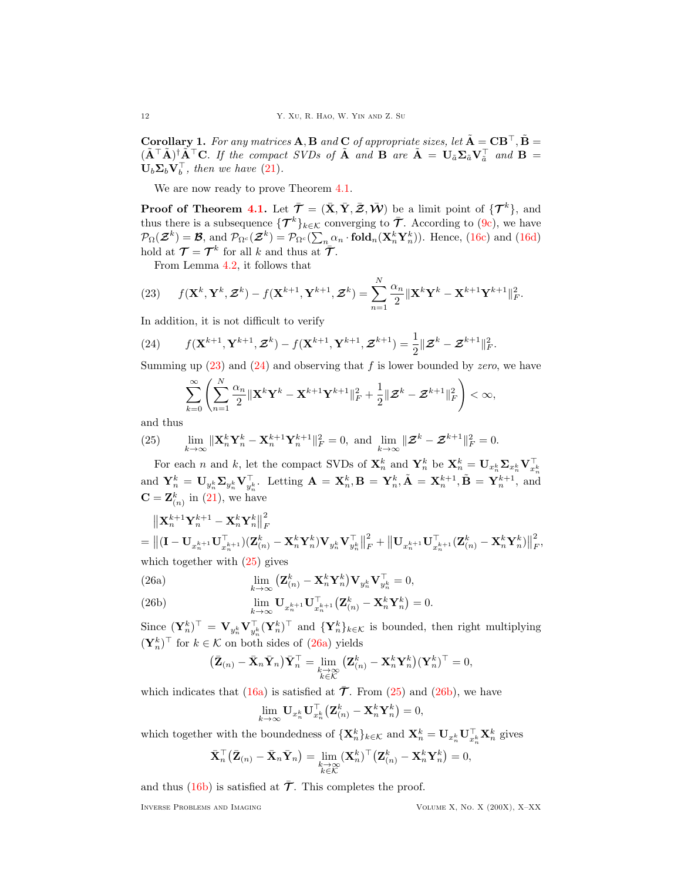Corollary 1. For any matrices A, B and C of appropriate sizes, let  $\tilde{A} = CB^{\top}, \tilde{B} =$  $(\tilde{\mathbf{A}}^T \tilde{\mathbf{A}})^{\dagger} \tilde{\mathbf{A}}^T \mathbf{C}$ . If the compact SVDs of  $\tilde{\mathbf{A}}$  and  $\mathbf{B}$  are  $\tilde{\mathbf{A}} = \mathbf{U}_{\tilde{a}} \mathbf{\Sigma}_{\tilde{a}} \mathbf{V}_{\tilde{a}}^T$  and  $\mathbf{B} =$  $\mathbf{U}_b \mathbf{\Sigma}_b \mathbf{V}_b^{\top}$ , then we have [\(21\)](#page-10-3).

We are now ready to prove Theorem [4.1.](#page-9-2)

**Proof of Theorem [4.1.](#page-9-2)** Let  $\bar{\mathcal{T}} = (\bar{X}, \bar{Y}, \bar{Z}, \bar{\mathcal{W}})$  be a limit point of  $\{\mathcal{T}^k\}$ , and thus there is a subsequence  $\{\mathcal{T}^k\}_{k\in\mathcal{K}}$  converging to  $\bar{\mathcal{T}}$ . According to [\(9c\)](#page-6-10), we have  $\mathcal{P}_{\Omega}(\mathcal{Z}^k) = \mathcal{B}$ , and  $\mathcal{P}_{\Omega^c}(\mathcal{Z}^k) = \mathcal{P}_{\Omega^c}(\sum_n \alpha_n \cdot \text{fold}_n(\mathbf{X}_n^k \mathbf{Y}_n^k))$ . Hence, [\(16c\)](#page-9-5) and [\(16d\)](#page-9-6) hold at  $\mathcal{T} = \mathcal{T}^k$  for all k and thus at  $\tilde{\mathcal{T}}$ .

<span id="page-11-0"></span>From Lemma [4.2,](#page-9-7) it follows that

(23) 
$$
f(\mathbf{X}^k, \mathbf{Y}^k, \mathbf{Z}^k) - f(\mathbf{X}^{k+1}, \mathbf{Y}^{k+1}, \mathbf{Z}^k) = \sum_{n=1}^N \frac{\alpha_n}{2} ||\mathbf{X}^k \mathbf{Y}^k - \mathbf{X}^{k+1} \mathbf{Y}^{k+1}||_F^2.
$$

In addition, it is not difficult to verify

<span id="page-11-1"></span>(24) 
$$
f(\mathbf{X}^{k+1},\mathbf{Y}^{k+1},\boldsymbol{\mathcal{Z}}^k)-f(\mathbf{X}^{k+1},\mathbf{Y}^{k+1},\boldsymbol{\mathcal{Z}}^{k+1})=\frac{1}{2}\|\boldsymbol{\mathcal{Z}}^k-\boldsymbol{\mathcal{Z}}^{k+1}\|_F^2.
$$

Summing up  $(23)$  and  $(24)$  and observing that f is lower bounded by zero, we have

$$
\sum_{k=0}^{\infty}\left(\sum_{n=1}^{N}\frac{\alpha_{n}}{2}\|\mathbf{X}^{k}\mathbf{Y}^{k}-\mathbf{X}^{k+1}\mathbf{Y}^{k+1}\|_{F}^{2}+\frac{1}{2}\|\boldsymbol{\mathcal{Z}}^{k}-\boldsymbol{\mathcal{Z}}^{k+1}\|_{F}^{2}\right)<\infty,
$$

and thus

<span id="page-11-2"></span>(25) 
$$
\lim_{k\to\infty} \|\mathbf{X}_n^k \mathbf{Y}_n^k - \mathbf{X}_n^{k+1} \mathbf{Y}_n^{k+1}\|_F^2 = 0, \text{ and } \lim_{k\to\infty} \|\mathbf{\mathcal{Z}}^k - \mathbf{\mathcal{Z}}^{k+1}\|_F^2 = 0.
$$

For each n and k, let the compact SVDs of  $\mathbf{X}_n^k$  and  $\mathbf{Y}_n^k$  be  $\mathbf{X}_n^k = \mathbf{U}_{x_n^k} \mathbf{\Sigma}_{x_n^k} \mathbf{V}_{x_n^k}^\top$ and  $\mathbf{Y}_n^k = \mathbf{U}_{y_n^k} \mathbf{\Sigma}_{y_n^k} \mathbf{V}_{y_n^k}^\top$ . Letting  $\mathbf{A} = \mathbf{X}_n^k, \mathbf{B} = \mathbf{Y}_n^k, \tilde{\mathbf{A}} = \mathbf{X}_n^{k+1}, \tilde{\mathbf{B}} = \mathbf{Y}_n^{k+1}$ , and  $\mathbf{C} = \mathbf{Z}_{(n)}^k$  in [\(21\)](#page-10-3), we have

$$
\begin{aligned}\n&\left\|\mathbf{X}_{n}^{k+1}\mathbf{Y}_{n}^{k+1}-\mathbf{X}_{n}^{k}\mathbf{Y}_{n}^{k}\right\|_{F}^{2} \\
&=\left\|\left(\mathbf{I}-\mathbf{U}_{x_{n}^{k+1}}\mathbf{U}_{x_{n}^{k+1}}^{\top}\right)(\mathbf{Z}_{(n)}^{k}-\mathbf{X}_{n}^{k}\mathbf{Y}_{n}^{k})\mathbf{V}_{y_{n}^{k}}\mathbf{V}_{y_{n}^{k}}^{\top}\right\|_{F}^{2}+\left\|\mathbf{U}_{x_{n}^{k+1}}\mathbf{U}_{x_{n}^{k+1}}^{\top}(\mathbf{Z}_{(n)}^{k}-\mathbf{X}_{n}^{k}\mathbf{Y}_{n}^{k})\right\|_{F}^{2}, \\
&\text{which together with (25) gives}\n\end{aligned}
$$

<span id="page-11-3"></span>(26a) 
$$
\lim_{k \to \infty} \left( \mathbf{Z}_{(n)}^k - \mathbf{X}_n^k \mathbf{Y}_n^k \right) \mathbf{V}_{y_n^k} \mathbf{V}_{y_n^k}^\top = 0,
$$

<span id="page-11-4"></span>(26b) 
$$
\lim_{k\to\infty} \mathbf{U}_{x_n^{k+1}} \mathbf{U}_{x_n^{k+1}}^\top \big( \mathbf{Z}_{(n)}^k - \mathbf{X}_n^k \mathbf{Y}_n^k \big) = 0.
$$

Since  $(\mathbf{Y}_n^k)^\top = \mathbf{V}_{y_n^k} \mathbf{V}_{y_n^k}^\top (\mathbf{Y}_n^k)^\top$  and  $\{\mathbf{Y}_n^k\}_{k \in \mathcal{K}}$  is bounded, then right multiplying  $(\mathbf{Y}_n^k)$ <sup>⊤</sup> for  $k \in \mathcal{K}$  on both sides of [\(26a\)](#page-11-3) yields

$$
\big(\bar{\mathbf{Z}}_{(n)}-\bar{\mathbf{X}}_n\bar{\mathbf{Y}}_n\big)\bar{\mathbf{Y}}_n^\top=\lim_{\substack{k\to\infty\\k\in\mathcal{K}}}\big(\mathbf{Z}_{(n)}^k-\mathbf{X}_n^k\mathbf{Y}_n^k\big)(\mathbf{Y}_n^k)^\top=0,
$$

which indicates that [\(16a\)](#page-9-8) is satisfied at  $\bar{\mathcal{T}}$ . From [\(25\)](#page-11-2) and [\(26b\)](#page-11-4), we have

$$
\lim_{k \to \infty} \mathbf{U}_{x_n^k} \mathbf{U}_{x_n^k}^\top \big( \mathbf{Z}_{(n)}^k - \mathbf{X}_n^k \mathbf{Y}_n^k \big) = 0,
$$

which together with the boundedness of  $\{X_n^k\}_{k \in \mathcal{K}}$  and  $X_n^k = U_{x_n^k} \mathbf{U}_{x_n^k}^\top \mathbf{X}_n^k$  gives

$$
\bar{\mathbf{X}}_n^\top \big( \bar{\mathbf{Z}}_{(n)} - \bar{\mathbf{X}}_n \bar{\mathbf{Y}}_n \big) = \lim_{\substack{k \to \infty \\ k \in \mathcal{K}}} (\mathbf{X}_n^k)^\top \big( \mathbf{Z}_{(n)}^k - \mathbf{X}_n^k \mathbf{Y}_n^k \big) = 0,
$$

and thus [\(16b\)](#page-9-9) is satisfied at  $\bar{\mathcal{T}}$ . This completes the proof.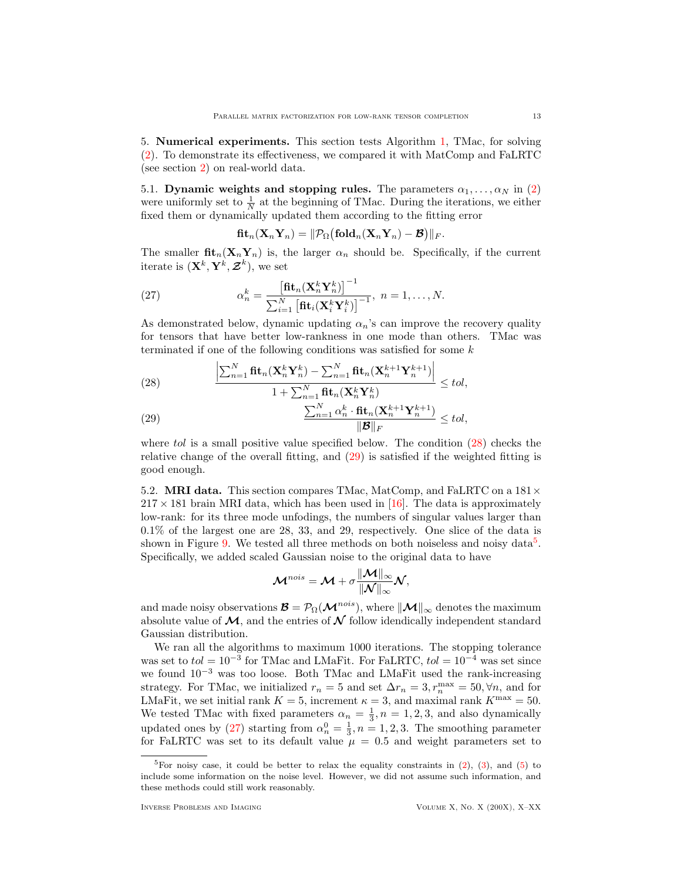<span id="page-12-0"></span>5. Numerical experiments. This section tests Algorithm [1,](#page-9-0) TMac, for solving [\(2\)](#page-2-1). To demonstrate its effectiveness, we compared it with MatComp and FaLRTC (see section [2\)](#page-4-0) on real-world data.

5.1. Dynamic weights and stopping rules. The parameters  $\alpha_1, \ldots, \alpha_N$  in [\(2\)](#page-2-1) were uniformly set to  $\frac{1}{N}$  at the beginning of TMac. During the iterations, we either fixed them or dynamically updated them according to the fitting error

<span id="page-12-4"></span>
$$
\operatorname{\mathbf{fit}}_n(\mathbf{X}_n\mathbf{Y}_n) = \|\mathcal{P}_{\Omega}\big(\operatorname{\mathbf{fold}}_n(\mathbf{X}_n\mathbf{Y}_n) - \mathcal{B}\big)\|_F.
$$

The smaller  $\text{fit}_n(\textbf{X}_n,\textbf{Y}_n)$  is, the larger  $\alpha_n$  should be. Specifically, if the current iterate is  $(\mathbf{X}^k, \mathbf{Y}^k, \mathcal{Z}^k)$ , we set

(27) 
$$
\alpha_n^k = \frac{\left[\mathbf{fit}_n(\mathbf{X}_n^k \mathbf{Y}_n^k)\right]^{-1}}{\sum_{i=1}^N \left[\mathbf{fit}_i(\mathbf{X}_i^k \mathbf{Y}_i^k)\right]^{-1}}, \ n = 1, \dots, N.
$$

As demonstrated below, dynamic updating  $\alpha_n$ 's can improve the recovery quality for tensors that have better low-rankness in one mode than others. TMac was terminated if one of the following conditions was satisfied for some  $k$ 

<span id="page-12-1"></span>(28) 
$$
\frac{\left|\sum_{n=1}^{N} \mathbf{fit}_n(\mathbf{X}_n^k \mathbf{Y}_n^k) - \sum_{n=1}^{N} \mathbf{fit}_n(\mathbf{X}_n^{k+1} \mathbf{Y}_n^{k+1})\right|}{1 + \sum_{n=1}^{N} \mathbf{fit}_n(\mathbf{X}_n^k \mathbf{Y}_n^k)} \leq tol,
$$

<span id="page-12-2"></span>(29) 
$$
\frac{\sum_{n=1}^{N} \alpha_n^k \cdot \mathbf{fit}_n(\mathbf{X}_n^{k+1} \mathbf{Y}_n^{k+1})}{\|\mathbf{B}\|_F} \leq tol,
$$

where tol is a small positive value specified below. The condition [\(28\)](#page-12-1) checks the relative change of the overall fitting, and [\(29\)](#page-12-2) is satisfied if the weighted fitting is good enough.

5.2. **MRI data.** This section compares TMac, MatComp, and FaLRTC on a  $181 \times$  $217 \times 181$  brain MRI data, which has been used in [\[16\]](#page-23-10). The data is approximately low-rank: for its three mode unfodings, the numbers of singular values larger than 0.1% of the largest one are 28, 33, and 29, respectively. One slice of the data is shown in Figure [9.](#page-19-0) We tested all three methods on both noiseless and noisy data<sup>[5](#page-12-3)</sup>. Specifically, we added scaled Gaussian noise to the original data to have

$$
\mathcal{M}^{nois} = \mathcal{M} + \sigma \frac{\|\mathcal{M}\|_{\infty}}{\|\mathcal{N}\|_{\infty}} \mathcal{N},
$$

and made noisy observations  $\mathcal{B} = \mathcal{P}_{\Omega}(\mathcal{M}^{nois})$ , where  $\|\mathcal{M}\|_{\infty}$  denotes the maximum absolute value of  $\mathcal{M}$ , and the entries of  $\mathcal N$  follow idendically independent standard Gaussian distribution.

We ran all the algorithms to maximum 1000 iterations. The stopping tolerance was set to  $tol = 10^{-3}$  for TMac and LMaFit. For FaLRTC,  $tol = 10^{-4}$  was set since we found 10<sup>−</sup><sup>3</sup> was too loose. Both TMac and LMaFit used the rank-increasing strategy. For TMac, we initialized  $r_n = 5$  and set  $\Delta r_n = 3, r_n^{\max} = 50, \forall n$ , and for LMaFit, we set initial rank  $K = 5$ , increment  $\kappa = 3$ , and maximal rank  $K^{\text{max}} = 50$ . We tested TMac with fixed parameters  $\alpha_n = \frac{1}{3}, n = 1, 2, 3$ , and also dynamically updated ones by [\(27\)](#page-12-4) starting from  $\alpha_n^0 = \frac{1}{3}$ ,  $n = 1, 2, 3$ . The smoothing parameter for FaLRTC was set to its default value  $\mu = 0.5$  and weight parameters set to

<span id="page-12-3"></span><sup>&</sup>lt;sup>5</sup>For noisy case, it could be better to relax the equality constraints in  $(2)$ ,  $(3)$ , and  $(5)$  to include some information on the noise level. However, we did not assume such information, and these methods could still work reasonably.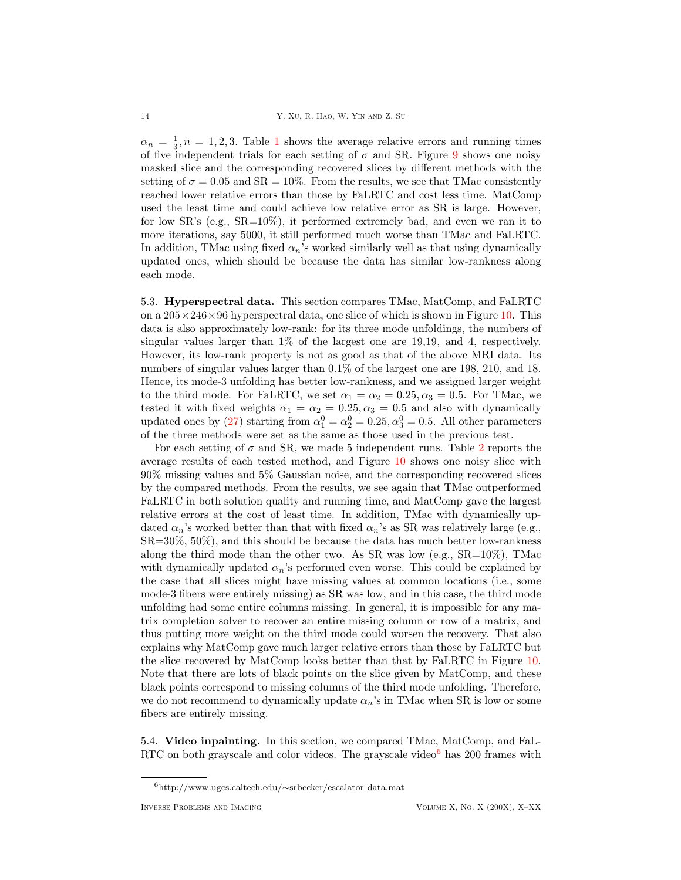$\alpha_n = \frac{1}{3}, n = 1, 2, 3$  $\alpha_n = \frac{1}{3}, n = 1, 2, 3$  $\alpha_n = \frac{1}{3}, n = 1, 2, 3$ . Table 1 shows the average relative errors and running times of five independent trials for each setting of  $\sigma$  and SR. Figure [9](#page-19-0) shows one noisy masked slice and the corresponding recovered slices by different methods with the setting of  $\sigma = 0.05$  and  $SR = 10\%$ . From the results, we see that TMac consistently reached lower relative errors than those by FaLRTC and cost less time. MatComp used the least time and could achieve low relative error as SR is large. However, for low SR's (e.g.,  $SR=10\%$ ), it performed extremely bad, and even we ran it to more iterations, say 5000, it still performed much worse than TMac and FaLRTC. In addition, TMac using fixed  $\alpha_n$ 's worked similarly well as that using dynamically updated ones, which should be because the data has similar low-rankness along each mode.

5.3. Hyperspectral data. This section compares TMac, MatComp, and FaLRTC on a  $205 \times 246 \times 96$  hyperspectral data, one slice of which is shown in Figure [10.](#page-20-0) This data is also approximately low-rank: for its three mode unfoldings, the numbers of singular values larger than 1% of the largest one are 19,19, and 4, respectively. However, its low-rank property is not as good as that of the above MRI data. Its numbers of singular values larger than 0.1% of the largest one are 198, 210, and 18. Hence, its mode-3 unfolding has better low-rankness, and we assigned larger weight to the third mode. For FaLRTC, we set  $\alpha_1 = \alpha_2 = 0.25, \alpha_3 = 0.5$ . For TMac, we tested it with fixed weights  $\alpha_1 = \alpha_2 = 0.25, \alpha_3 = 0.5$  and also with dynamically updated ones by [\(27\)](#page-12-4) starting from  $\alpha_1^0 = \alpha_2^0 = 0.25, \alpha_3^0 = 0.5$ . All other parameters of the three methods were set as the same as those used in the previous test.

For each setting of  $\sigma$  and SR, we made 5 independent runs. Table [2](#page-20-1) reports the average results of each tested method, and Figure [10](#page-20-0) shows one noisy slice with 90% missing values and 5% Gaussian noise, and the corresponding recovered slices by the compared methods. From the results, we see again that TMac outperformed FaLRTC in both solution quality and running time, and MatComp gave the largest relative errors at the cost of least time. In addition, TMac with dynamically updated  $\alpha_n$ 's worked better than that with fixed  $\alpha_n$ 's as SR was relatively large (e.g., SR=30%, 50%), and this should be because the data has much better low-rankness along the third mode than the other two. As SR was low (e.g.,  $SR=10\%$ ), TMac with dynamically updated  $\alpha_n$ 's performed even worse. This could be explained by the case that all slices might have missing values at common locations (i.e., some mode-3 fibers were entirely missing) as SR was low, and in this case, the third mode unfolding had some entire columns missing. In general, it is impossible for any matrix completion solver to recover an entire missing column or row of a matrix, and thus putting more weight on the third mode could worsen the recovery. That also explains why MatComp gave much larger relative errors than those by FaLRTC but the slice recovered by MatComp looks better than that by FaLRTC in Figure [10.](#page-20-0) Note that there are lots of black points on the slice given by MatComp, and these black points correspond to missing columns of the third mode unfolding. Therefore, we do not recommend to dynamically update  $\alpha_n$ 's in TMac when SR is low or some fibers are entirely missing.

5.4. Video inpainting. In this section, we compared TMac, MatComp, and FaL-RTC on both grayscale and color videos. The grayscale video $<sup>6</sup>$  $<sup>6</sup>$  $<sup>6</sup>$  has 200 frames with</sup>

<span id="page-13-0"></span><sup>6</sup>http://www.ugcs.caltech.edu/∼srbecker/escalator data.mat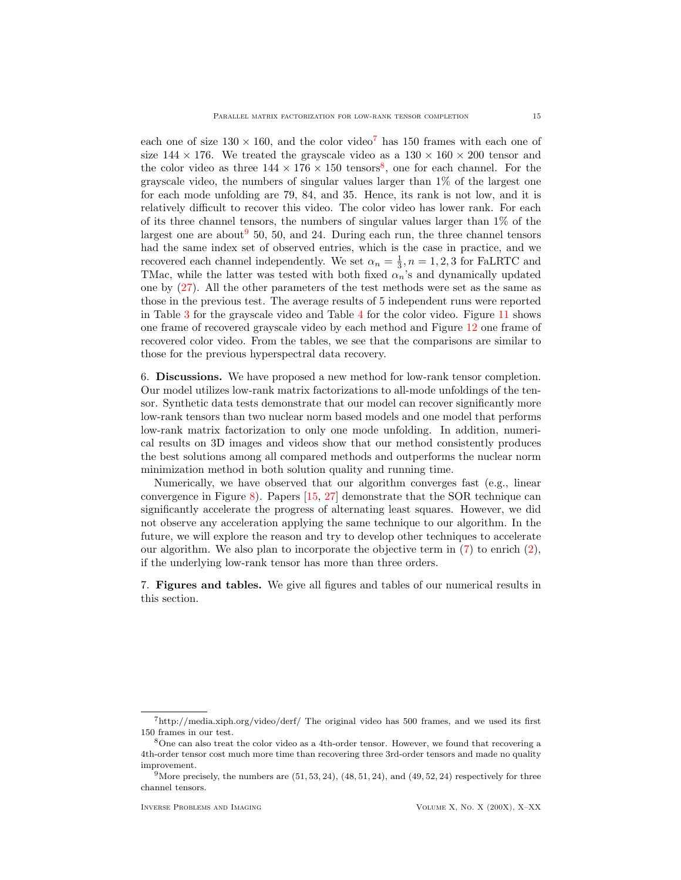each one of size  $130 \times 160$ , and the color video<sup>[7](#page-14-2)</sup> has 150 frames with each one of size  $144 \times 176$ . We treated the graviscale video as a  $130 \times 160 \times 200$  tensor and the color video as three  $144 \times 176 \times 150$  tensors<sup>[8](#page-14-3)</sup>, one for each channel. For the grayscale video, the numbers of singular values larger than 1% of the largest one for each mode unfolding are 79, 84, and 35. Hence, its rank is not low, and it is relatively difficult to recover this video. The color video has lower rank. For each of its three channel tensors, the numbers of singular values larger than 1% of the largest one are about  $950$  $950$ , 50, and 24. During each run, the three channel tensors had the same index set of observed entries, which is the case in practice, and we recovered each channel independently. We set  $\alpha_n = \frac{1}{3}, n = 1, 2, 3$  for FaLRTC and TMac, while the latter was tested with both fixed  $\alpha_n$ 's and dynamically updated one by [\(27\)](#page-12-4). All the other parameters of the test methods were set as the same as those in the previous test. The average results of 5 independent runs were reported in Table [3](#page-21-0) for the grayscale video and Table [4](#page-22-2) for the color video. Figure [11](#page-21-1) shows one frame of recovered grayscale video by each method and Figure [12](#page-22-3) one frame of recovered color video. From the tables, we see that the comparisons are similar to those for the previous hyperspectral data recovery.

<span id="page-14-0"></span>6. Discussions. We have proposed a new method for low-rank tensor completion. Our model utilizes low-rank matrix factorizations to all-mode unfoldings of the tensor. Synthetic data tests demonstrate that our model can recover significantly more low-rank tensors than two nuclear norm based models and one model that performs low-rank matrix factorization to only one mode unfolding. In addition, numerical results on 3D images and videos show that our method consistently produces the best solutions among all compared methods and outperforms the nuclear norm minimization method in both solution quality and running time.

Numerically, we have observed that our algorithm converges fast (e.g., linear convergence in Figure [8\)](#page-18-1). Papers [\[15,](#page-23-24) [27\]](#page-23-8) demonstrate that the SOR technique can significantly accelerate the progress of alternating least squares. However, we did not observe any acceleration applying the same technique to our algorithm. In the future, we will explore the reason and try to develop other techniques to accelerate our algorithm. We also plan to incorporate the objective term in  $(7)$  to enrich  $(2)$ , if the underlying low-rank tensor has more than three orders.

<span id="page-14-1"></span>7. Figures and tables. We give all figures and tables of our numerical results in this section.

<span id="page-14-2"></span> $7$ http://media.xiph.org/video/derf/ The original video has 500 frames, and we used its first 150 frames in our test.

<span id="page-14-3"></span><sup>8</sup>One can also treat the color video as a 4th-order tensor. However, we found that recovering a 4th-order tensor cost much more time than recovering three 3rd-order tensors and made no quality improvement.

<span id="page-14-4"></span><sup>&</sup>lt;sup>9</sup>More precisely, the numbers are  $(51, 53, 24)$ ,  $(48, 51, 24)$ , and  $(49, 52, 24)$  respectively for three channel tensors.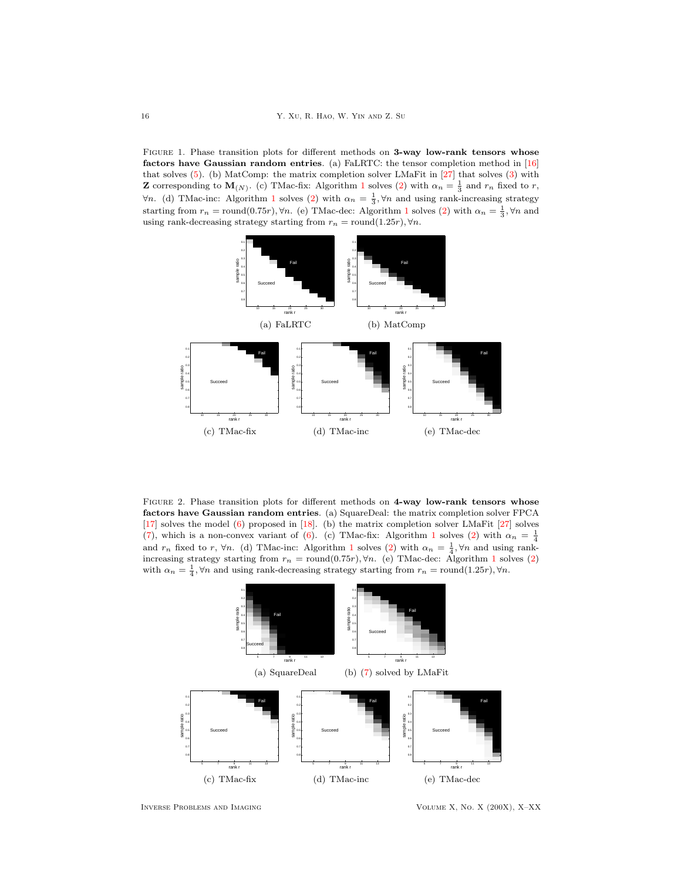<span id="page-15-0"></span>FIGURE 1. Phase transition plots for different methods on 3-way low-rank tensors whose factors have Gaussian random entries. (a) FaLRTC: the tensor completion method in  $[16]$ that solves [\(5\)](#page-3-2). (b) MatComp: the matrix completion solver LMaFit in [\[27\]](#page-23-8) that solves [\(3\)](#page-2-2) with **Z** corresponding to  $\mathbf{M}_{(N)}$ . (c) TMac-fix: Algorithm [1](#page-9-0) solves [\(2\)](#page-2-1) with  $\alpha_n = \frac{1}{3}$  and  $r_n$  fixed to r,  $\forall n$ . (d) TMac-inc: Algorithm [1](#page-9-0) solves [\(2\)](#page-2-1) with  $\alpha_n = \frac{1}{3}$ ,  $\forall n$  and using rank-increasing strategy starting from  $r_n = \text{round}(0.75r)$ ,  $\forall n$ . (e) TMac-dec: Algorithm [1](#page-9-0) solves [\(2\)](#page-2-1) with  $\alpha_n = \frac{1}{3}$ ,  $\forall n$  and using rank-decreasing strategy starting from  $r_n = \text{round}(1.25r)$ ,  $\forall n$ .



<span id="page-15-1"></span>FIGURE 2. Phase transition plots for different methods on 4-way low-rank tensors whose factors have Gaussian random entries. (a) SquareDeal: the matrix completion solver FPCA [\[17\]](#page-23-6) solves the model [\(6\)](#page-3-3) proposed in [\[18\]](#page-23-15). (b) the matrix completion solver LMaFit [\[27\]](#page-23-8) solves [\(7\)](#page-5-0), which is a non-convex variant of [\(6\)](#page-3-3). (c) TMac-fix: Algorithm [1](#page-9-0) solves [\(2\)](#page-2-1) with  $\alpha_n = \frac{1}{4}$ and  $r_n$  fixed to r,  $\forall n$ . (d) TMac-inc: Algorithm [1](#page-9-0) solves [\(2\)](#page-2-1) with  $\alpha_n = \frac{1}{4}$ ,  $\forall n$  and using rankincreasing strategy starting from  $r_n = \text{round}(0.75r)$ ,  $\forall n$ . (e) TMac-dec: Algorithm [1](#page-9-0) solves [\(2\)](#page-2-1) with  $\alpha_n = \frac{1}{4}$ ,  $\forall n$  and using rank-decreasing strategy starting from  $r_n = \text{round}(1.25r)$ ,  $\forall n$ .



Inverse Problems and Imaging Volume X, No. X (200X), X–XX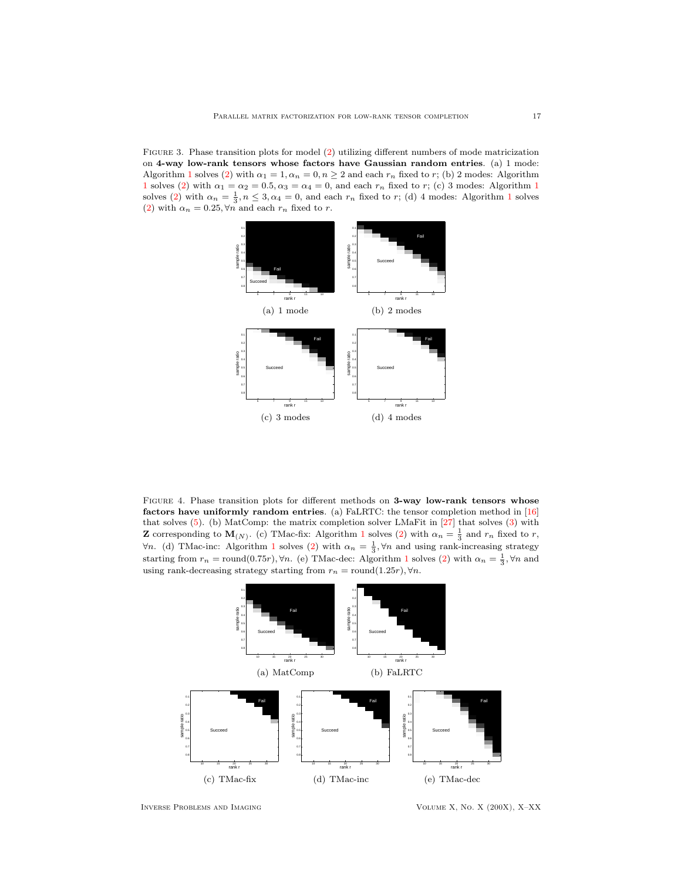<span id="page-16-0"></span>Figure 3. Phase transition plots for model [\(2\)](#page-2-1) utilizing different numbers of mode matricization on 4-way low-rank tensors whose factors have Gaussian random entries. (a) 1 mode: Algorithm [1](#page-9-0) solves [\(2\)](#page-2-1) with  $\alpha_1 = 1, \alpha_n = 0, n \geq 2$  and each  $r_n$  fixed to r; (b) 2 modes: Algorithm [1](#page-9-0) solves [\(2\)](#page-2-1) with  $\alpha_1 = \alpha_2 = 0.5, \alpha_3 = \alpha_4 = 0$ , and each  $r_n$  fixed to r; (c) 3 modes: Algorithm 1 solves [\(2\)](#page-2-1) with  $\alpha_n = \frac{1}{3}, n \leq 3, \alpha_4 = 0$  $\alpha_n = \frac{1}{3}, n \leq 3, \alpha_4 = 0$  $\alpha_n = \frac{1}{3}, n \leq 3, \alpha_4 = 0$ , and each  $r_n$  fixed to r; (d) 4 modes: Algorithm 1 solves [\(2\)](#page-2-1) with  $\alpha_n = 0.25, \forall n$  and each  $r_n$  fixed to r.



<span id="page-16-1"></span>FIGURE 4. Phase transition plots for different methods on 3-way low-rank tensors whose factors have uniformly random entries. (a) FaLRTC: the tensor completion method in [\[16\]](#page-23-10) that solves [\(5\)](#page-3-2). (b) MatComp: the matrix completion solver LMaFit in [\[27\]](#page-23-8) that solves [\(3\)](#page-2-2) with **Z** corresponding to  $\mathbf{M}_{(N)}$ . (c) TMac-fix: Algorithm [1](#page-9-0) solves [\(2\)](#page-2-1) with  $\alpha_n = \frac{1}{3}$  and  $r_n$  fixed to r,  $\forall n$ . (d) TMac-inc: Algorithm [1](#page-9-0) solves [\(2\)](#page-2-1) with  $\alpha_n = \frac{1}{3}$ ,  $\forall n$  and using rank-increasing strategy starting from  $r_n = \text{round}(0.75r)$ ,  $\forall n$ . (e) TMac-dec: Algorithm [1](#page-9-0) solves [\(2\)](#page-2-1) with  $\alpha_n = \frac{1}{3}$ ,  $\forall n$  and using rank-decreasing strategy starting from  $r_n = \text{round}(1.25r)$ ,  $\forall n$ .



Inverse Problems and Imaging Volume X, No. X (200X), X–XX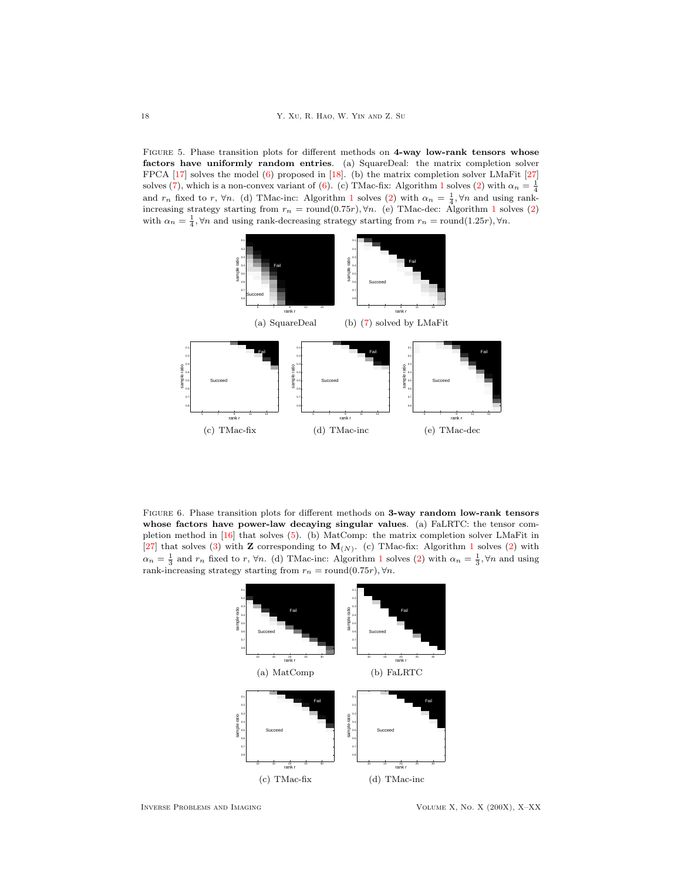<span id="page-17-0"></span>FIGURE 5. Phase transition plots for different methods on 4-way low-rank tensors whose factors have uniformly random entries. (a) SquareDeal: the matrix completion solver FPCA [\[17\]](#page-23-6) solves the model [\(6\)](#page-3-3) proposed in [\[18\]](#page-23-15). (b) the matrix completion solver LMaFit [\[27\]](#page-23-8) solves [\(7\)](#page-5-0), which is a non-convex variant of [\(6\)](#page-3-3). (c) TMac-fix: Algorithm [1](#page-9-0) solves [\(2\)](#page-2-1) with  $\alpha_n = \frac{1}{4}$ and  $r_n$  fixed to r,  $\forall n$ . (d) TMac-inc: Algorithm [1](#page-9-0) solves [\(2\)](#page-2-1) with  $\alpha_n = \frac{1}{4}$ ,  $\forall n$  and using rankincreasing strategy starting from  $r_n = \text{round}(0.75r), \forall n$ . (e) TMac-dec: Algorithm [1](#page-9-0) solves [\(2\)](#page-2-1) with  $\alpha_n = \frac{1}{4}$ ,  $\forall n$  and using rank-decreasing strategy starting from  $r_n = \text{round}(1.25r)$ ,  $\forall n$ .



<span id="page-17-1"></span>FIGURE 6. Phase transition plots for different methods on 3-way random low-rank tensors whose factors have power-law decaying singular values. (a) FaLRTC: the tensor completion method in [\[16\]](#page-23-10) that solves [\(5\)](#page-3-2). (b) MatComp: the matrix completion solver LMaFit in [\[27\]](#page-23-8) that solves [\(3\)](#page-2-2) with **Z** corresponding to  $M_{(N)}$ . (c) TMac-fix: Algorithm [1](#page-9-0) solves [\(2\)](#page-2-1) with  $\alpha_n = \frac{1}{3}$  $\alpha_n = \frac{1}{3}$  $\alpha_n = \frac{1}{3}$  and  $r_n$  fixed to r,  $\forall n$ . (d) TMac-inc: Algorithm 1 solves [\(2\)](#page-2-1) with  $\alpha_n = \frac{1}{3}$ ,  $\forall n$  and using rank-increasing strategy starting from  $r_n = \text{round}(0.75r), \forall n$ .



Inverse Problems and Imaging Volume X, No. X (200X), X–XX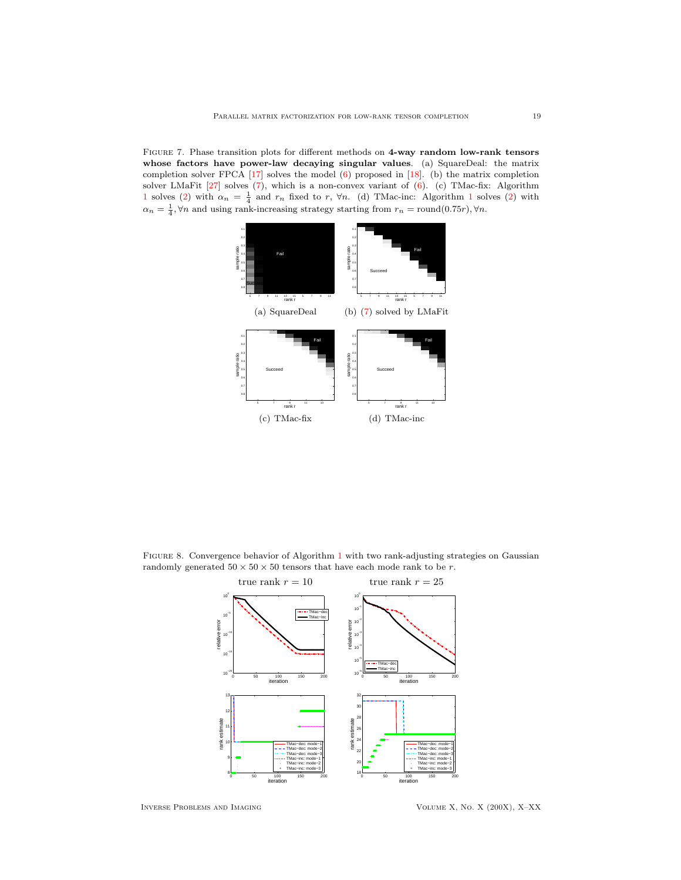<span id="page-18-0"></span>Figure 7. Phase transition plots for different methods on 4-way random low-rank tensors whose factors have power-law decaying singular values. (a) SquareDeal: the matrix completion solver FPCA [\[17\]](#page-23-6) solves the model [\(6\)](#page-3-3) proposed in [\[18\]](#page-23-15). (b) the matrix completion solver LMaFit [\[27\]](#page-23-8) solves [\(7\)](#page-5-0), which is a non-convex variant of [\(6\)](#page-3-3). (c) TMac-fix: Algorithm [1](#page-9-0) solves [\(2\)](#page-2-1) with  $\alpha_n = \frac{1}{4}$  and  $r_n$  fixed to r,  $\forall n$ . (d) TMac-inc: Algorithm 1 solves (2) with  $\alpha_n = \frac{1}{4}$ ,  $\forall n$  and using rank-increasing strategy starting from  $r_n = \text{round}(0.75r)$ ,  $\forall n$ .



<span id="page-18-1"></span>Figure 8. Convergence behavior of Algorithm [1](#page-9-0) with two rank-adjusting strategies on Gaussian randomly generated  $50 \times 50 \times 50$  tensors that have each mode rank to be  $r.$ 



Inverse Problems and Imaging Volume X, No. X (200X), X–XX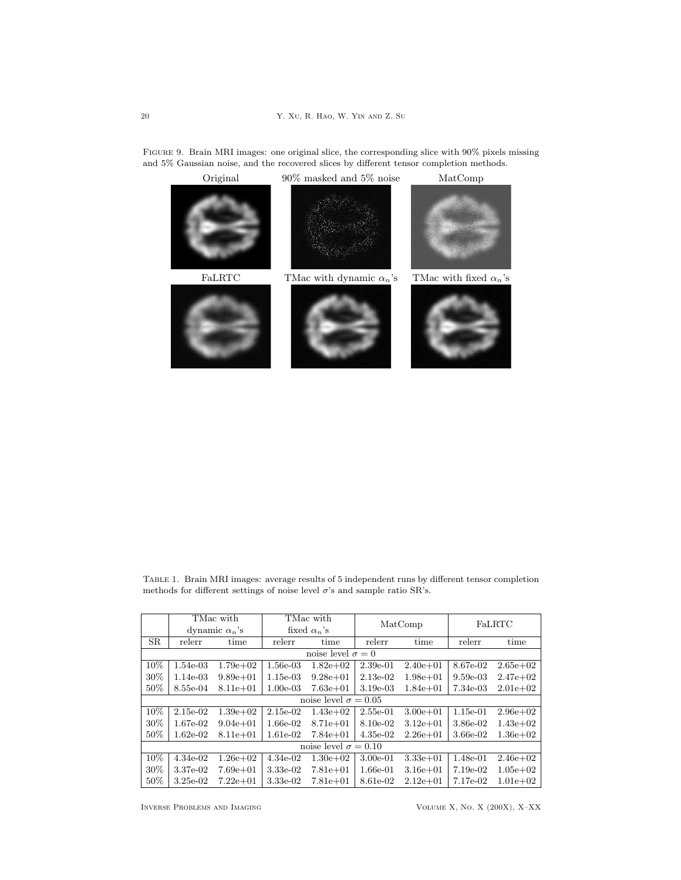

<span id="page-19-0"></span>Figure 9. Brain MRI images: one original slice, the corresponding slice with 90% pixels missing and 5% Gaussian noise, and the recovered slices by different tensor completion methods.

<span id="page-19-1"></span>Table 1. Brain MRI images: average results of 5 independent runs by different tensor completion methods for different settings of noise level  $\sigma$ 's and sample ratio SR's.

|                             | TMac with             |              | TMac with           |               | MatComp    |              | FaLRTC     |               |  |
|-----------------------------|-----------------------|--------------|---------------------|---------------|------------|--------------|------------|---------------|--|
|                             | dynamic $\alpha_n$ 's |              | fixed $\alpha_n$ 's |               |            |              |            |               |  |
| <b>SR</b>                   | relerr                | time         | relerr              | time          | relerr     | time         | relerr     | time          |  |
| noise level $\sigma = 0$    |                       |              |                     |               |            |              |            |               |  |
| 10%                         | 1.54e-03              | $1.79e + 02$ | $1.56e-03$          | $1.82e+0.2$   | $2.39e-01$ | $2.40e + 01$ | 8.67e-02   | $2.65e+02$    |  |
| 30%                         | $1.14e-03$            | $9.89e + 01$ | $1.15e-03$          | $9.28e + 01$  | $2.13e-02$ | $1.98e + 01$ | $9.59e-03$ | $2.47e+02$    |  |
| $50\%$                      | 8.55e-04              | $8.11e + 01$ | $1.00e-03$          | $7.63e + 01$  | $3.19e-03$ | $1.84e + 01$ | 7.34e-03   | $2.01e + 0.2$ |  |
| noise level $\sigma = 0.05$ |                       |              |                     |               |            |              |            |               |  |
| 10%                         | $2.15e-02$            | $1.39e+0.2$  | $2.15e-02$          | $1.43e+02$    | $2.55e-01$ | $3.00e + 01$ | $1.15e-01$ | $2.96e+0.2$   |  |
| 30%                         | $1.67e-02$            | $9.04e + 01$ | $1.66e-02$          | $8.71e + 01$  | 8.10e-02   | $3.12e + 01$ | 3.86e-02   | $1.43e+02$    |  |
| 50%                         | $1.62e-02$            | $8.11e + 01$ | $1.61e-02$          | $7.84e + 01$  | $4.35e-02$ | $2.26e + 01$ | 3.66e-02   | $1.36e + 02$  |  |
| noise level $\sigma = 0.10$ |                       |              |                     |               |            |              |            |               |  |
| 10%                         | $4.34e-02$            | $1.26e + 02$ | $4.34e-02$          | $1.30e + 0.2$ | $3.00e-01$ | $3.33e + 01$ | 1.48e-01   | $2.46e+02$    |  |
| 30%                         | 3.37e-02              | $7.69e + 01$ | $3.33e-02$          | $7.81e + 01$  | $1.66e-01$ | $3.16e + 01$ | 7.19e-02   | $1.05e + 02$  |  |
| $50\%$                      | $3.25e-02$            | $7.22e + 01$ | 3.33e-02            | $7.81e+01$    | 8.61e-02   | $2.12e + 01$ | 7.17e-02   | $1.01e + 02$  |  |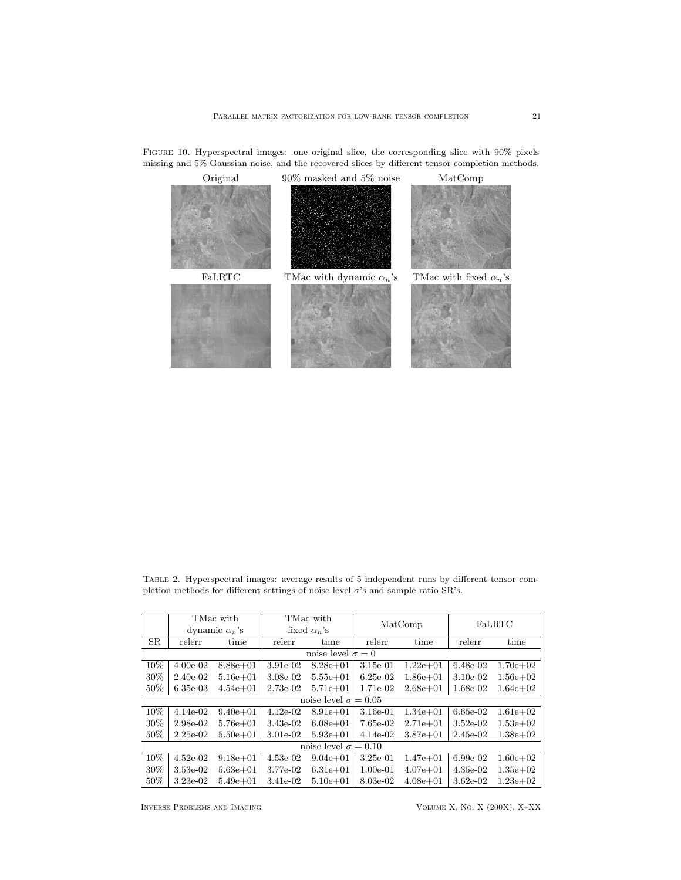

<span id="page-20-0"></span>Figure 10. Hyperspectral images: one original slice, the corresponding slice with 90% pixels missing and  $5\%$  Gaussian noise, and the recovered slices by different tensor completion methods.

<span id="page-20-1"></span>Table 2. Hyperspectral images: average results of 5 independent runs by different tensor completion methods for different settings of noise level  $\sigma$ 's and sample ratio SR's.

|                             | TMac with             |              | TMac with           |              | MatComp    |              | FaLRTC      |              |  |
|-----------------------------|-----------------------|--------------|---------------------|--------------|------------|--------------|-------------|--------------|--|
|                             | dynamic $\alpha_n$ 's |              | fixed $\alpha_n$ 's |              |            |              |             |              |  |
| <b>SR</b>                   | relerr                | time         | relerr              | time         | relerr     | time         | relerr      | time         |  |
| noise level $\sigma = 0$    |                       |              |                     |              |            |              |             |              |  |
| 10%                         | $4.00e-02$            | $8.88e + 01$ | 3.91e-02            | $8.28e + 01$ | $3.15e-01$ | $1.22e + 01$ | $6.48e-02$  | $1.70e + 02$ |  |
| 30%                         | $2.40e-02$            | $5.16e + 01$ | 3.08e-02            | $5.55e + 01$ | $6.25e-02$ | $1.86e + 01$ | $3.10e-0.2$ | $1.56e + 02$ |  |
| 50%                         | $6.35e-03$            | $4.54e + 01$ | 2.73e-02            | $5.71e + 01$ | 1.71e-02   | $2.68e + 01$ | 1.68e-02    | $1.64e + 02$ |  |
| noise level $\sigma = 0.05$ |                       |              |                     |              |            |              |             |              |  |
| $10\%$                      | $4.14e-02$            | $9.40e + 01$ | $4.12e-02$          | $8.91e+01$   | $3.16e-01$ | $1.34e + 01$ | $6.65e-02$  | $1.61e + 02$ |  |
| 30%                         | $2.98e-02$            | $5.76e + 01$ | 3.43e-02            | $6.08e + 01$ | 7.65e-02   | $2.71e + 01$ | $3.52e-02$  | $1.53e+02$   |  |
| 50%                         | $2.25e-02$            | $5.50e + 01$ | $3.01e-0.2$         | $5.93e + 01$ | $4.14e-02$ | $3.87e + 01$ | $2.45e-02$  | $1.38e + 02$ |  |
| noise level $\sigma = 0.10$ |                       |              |                     |              |            |              |             |              |  |
| $10\%$                      | $4.52e-02$            | $9.18e + 01$ | $4.53e-02$          | $9.04e + 01$ | $3.25e-01$ | $1.47e + 01$ | $6.99e-02$  | $1.60e + 02$ |  |
| 30%                         | $3.53e-02$            | $5.63e + 01$ | 3.77e-02            | $6.31e + 01$ | $1.00e-01$ | $4.07e + 01$ | $4.35e-02$  | $1.35e+0.2$  |  |
| 50%                         | $3.23e-02$            | $5.49e + 01$ | 3.41e-02            | $5.10e + 01$ | 8.03e-02   | $4.08e + 01$ | $3.62e-02$  | $1.23e+0.2$  |  |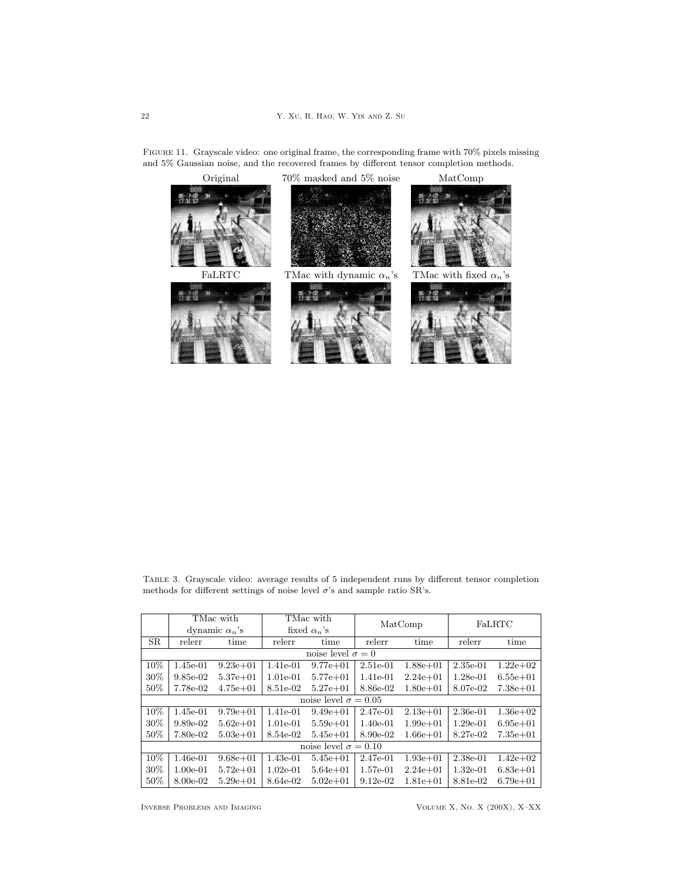<span id="page-21-1"></span>Figure 11. Grayscale video: one original frame, the corresponding frame with 70% pixels missing and 5% Gaussian noise, and the recovered frames by different tensor completion methods.



<span id="page-21-0"></span>Table 3. Grayscale video: average results of 5 independent runs by different tensor completion methods for different settings of noise level  $\sigma$ 's and sample ratio SR's.

|                             | TMac with             |              | TMac with           |              | MatComp    |              | FaLRTC     |              |  |
|-----------------------------|-----------------------|--------------|---------------------|--------------|------------|--------------|------------|--------------|--|
|                             | dynamic $\alpha_n$ 's |              | fixed $\alpha_n$ 's |              |            |              |            |              |  |
| <b>SR</b>                   | relerr                | time         | relerr              | time         | relerr     | time         | relerr     | time         |  |
| noise level $\sigma = 0$    |                       |              |                     |              |            |              |            |              |  |
| 10%                         | $1.45e-01$            | $9.23e + 01$ | 1.41e-01            | $9.77e + 01$ | $2.51e-01$ | $1.88e + 01$ | $2.35e-01$ | $1.22e+0.2$  |  |
| 30%                         | $9.85e-02$            | $5.37e + 01$ | $1.01e-01$          | $5.77e + 01$ | 1.41e-01   | $2.24e + 01$ | $1.28e-01$ | $6.55e+01$   |  |
| 50%                         | 7.78e-02              | $4.75e+01$   | 8.51e-02            | $5.27e + 01$ | 8.86e-02   | $1.80e + 01$ | 8.07e-02   | $7.38e + 01$ |  |
| noise level $\sigma = 0.05$ |                       |              |                     |              |            |              |            |              |  |
| 10%                         | $1.45e-01$            | $9.79e + 01$ | 1.41e-01            | $9.49e + 01$ | 2.47e-01   | $2.13e + 01$ | $2.36e-01$ | $1.36e+0.2$  |  |
| 30%                         | $9.89e-02$            | $5.62e + 01$ | $1.01e-01$          | $5.59e + 01$ | $1.40e-01$ | $1.99e + 01$ | $1.29e-01$ | $6.95e+01$   |  |
| 50%                         | 7.80e-02              | $5.03e + 01$ | 8.54e-02            | $5.45e + 01$ | 8.90e-02   | $1.66e + 01$ | 8.27e-02   | $7.35e + 01$ |  |
| noise level $\sigma = 0.10$ |                       |              |                     |              |            |              |            |              |  |
| 10%                         | $1.46e-01$            | $9.68e + 01$ | $1.43e-01$          | $5.45e + 01$ | 2.47e-01   | $1.93e + 01$ | $2.38e-01$ | $1.42e+02$   |  |
| 30%                         | $1.00e-01$            | $5.72e + 01$ | $1.02e-01$          | $5.64e + 01$ | $1.57e-01$ | $2.24e + 01$ | $1.32e-01$ | $6.83e+01$   |  |
| 50%                         | 8.00e-02              | $5.29e + 01$ | 8.64e-02            | $5.02e + 01$ | $9.12e-02$ | $1.81e + 01$ | 8.81e-02   | $6.79e + 01$ |  |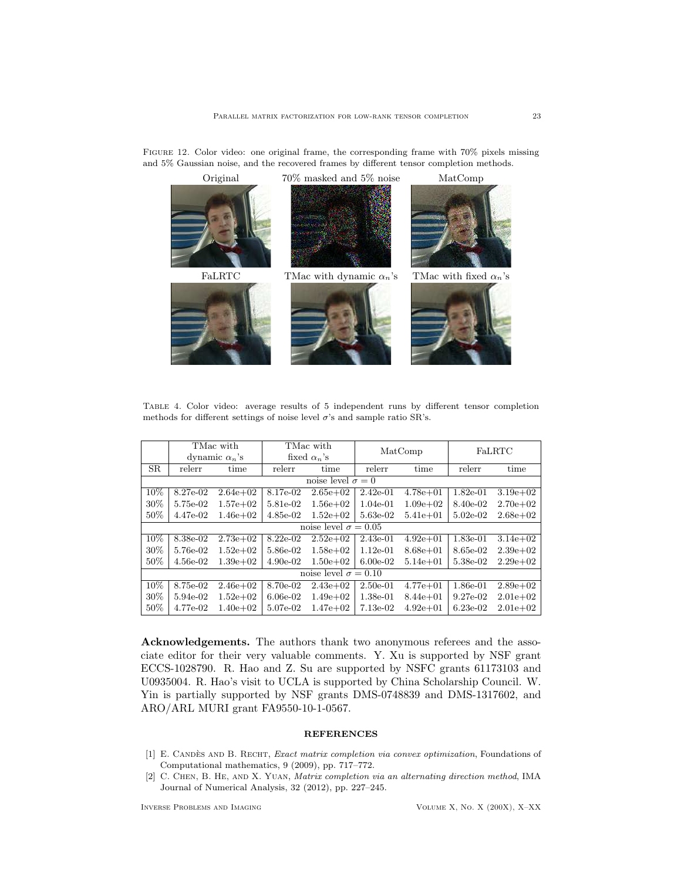<span id="page-22-3"></span>



<span id="page-22-2"></span>Table 4. Color video: average results of 5 independent runs by different tensor completion methods for different settings of noise level  $\sigma$ 's and sample ratio SR's.

|                             | TMac with             |              | TMac with           |              | MatComp    |              | FaLRTC      |               |  |
|-----------------------------|-----------------------|--------------|---------------------|--------------|------------|--------------|-------------|---------------|--|
|                             | dynamic $\alpha_n$ 's |              | fixed $\alpha_n$ 's |              |            |              |             |               |  |
| SR.                         | relerr                | time         | relerr              | time         | relerr     | time         | relerr      | time          |  |
| noise level $\sigma = 0$    |                       |              |                     |              |            |              |             |               |  |
| 10%                         | 8.27e-02              | $2.64e + 02$ | 8.17e-02            | $2.65e+02$   | $2.42e-01$ | $4.78e + 01$ | $1.82e-01$  | $3.19e+0.2$   |  |
| 30%                         | 5.75e-02              | $1.57e+02$   | 5.81e-02            | $1.56e + 02$ | $1.04e-01$ | $1.09e + 02$ | 8.40e-02    | $2.70e + 0.2$ |  |
| 50%                         | 4.47e-02              | $1.46e + 02$ | $4.85e-02$          | $1.52e+02$   | 5.63e-02   | $5.41e + 01$ | $5.02e-02$  | $2.68e + 02$  |  |
| noise level $\sigma = 0.05$ |                       |              |                     |              |            |              |             |               |  |
| 10%                         | 8.38e-02              | $2.73e+02$   | $8.22e-02$          | $2.52e+02$   | $2.43e-01$ | $4.92e+01$   | $1.83e-01$  | $3.14e + 02$  |  |
| 30%                         | 5.76e-02              | $1.52e+02$   | 5.86e-02            | $1.58e + 02$ | $1.12e-01$ | $8.68e + 01$ | 8.65e-02    | $2.39e+0.2$   |  |
| 50%                         | $4.56e-02$            | $1.39e+0.2$  | $4.90e-02$          | $1.50e + 02$ | $6.00e-02$ | $5.14e + 01$ | 5.38e-02    | $2.29e+0.2$   |  |
| noise level $\sigma = 0.10$ |                       |              |                     |              |            |              |             |               |  |
| 10%                         | 8.75e-02              | $2.46e+02$   | 8.70e-02            | $2.43e+0.2$  | $2.50e-01$ | $4.77e + 01$ | 1.86e-01    | $2.89e+0.2$   |  |
| 30%                         | 5.94e-02              | $1.52e+02$   | $6.06e-02$          | $1.49e + 02$ | $1.38e-01$ | $8.44e + 01$ | $9.27e-0.2$ | $2.01e+0.2$   |  |
| 50%                         | 4.77e-02              | $1.40e + 02$ | 5.07e-02            | $1.47e + 02$ | $7.13e-02$ | $4.92e+01$   | $6.23e-02$  | $2.01e+0.2$   |  |

Acknowledgements. The authors thank two anonymous referees and the associate editor for their very valuable comments. Y. Xu is supported by NSF grant ECCS-1028790. R. Hao and Z. Su are supported by NSFC grants 61173103 and U0935004. R. Hao's visit to UCLA is supported by China Scholarship Council. W. Yin is partially supported by NSF grants DMS-0748839 and DMS-1317602, and ARO/ARL MURI grant FA9550-10-1-0567.

### **REFERENCES**

- <span id="page-22-0"></span>[1] E. CANDÈS AND B. RECHT, Exact matrix completion via convex optimization, Foundations of Computational mathematics, 9 (2009), pp. 717–772.
- <span id="page-22-1"></span>[2] C. Chen, B. He, and X. Yuan, Matrix completion via an alternating direction method, IMA Journal of Numerical Analysis, 32 (2012), pp. 227–245.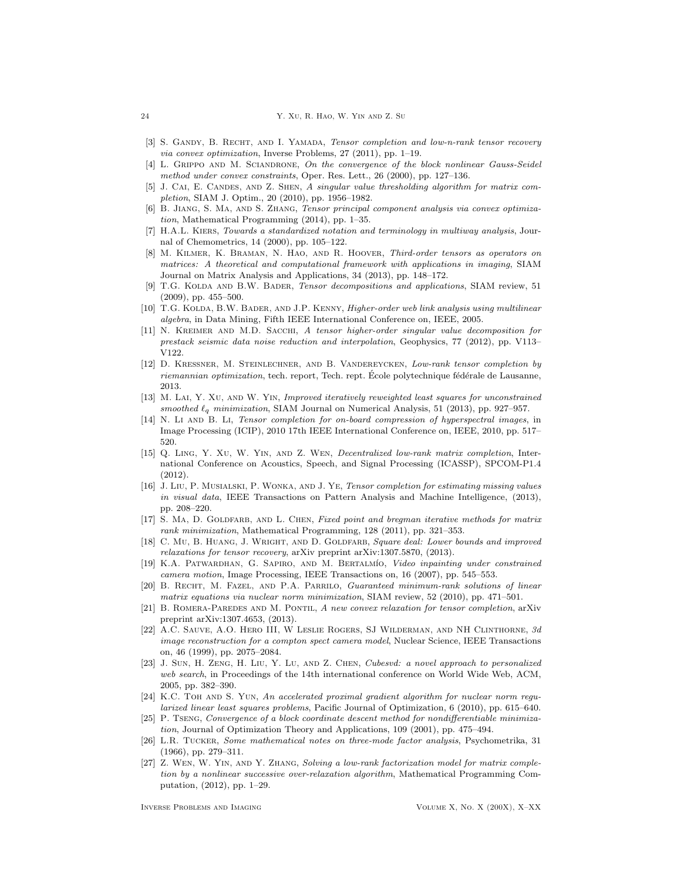- <span id="page-23-11"></span>[3] S. GANDY, B. RECHT, AND I. YAMADA, Tensor completion and low-n-rank tensor recovery via convex optimization, Inverse Problems, 27 (2011), pp. 1–19.
- <span id="page-23-22"></span>[4] L. GRIPPO AND M. SCIANDRONE, On the convergence of the block nonlinear Gauss-Seidel method under convex constraints, Oper. Res. Lett., 26 (2000), pp. 127–136.
- <span id="page-23-21"></span>J. CAI, E. CANDES, AND Z. SHEN, A singular value thresholding algorithm for matrix completion, SIAM J. Optim., 20 (2010), pp. 1956–1982.
- <span id="page-23-16"></span>[6] B. Jiang, S. Ma, and S. Zhang, Tensor principal component analysis via convex optimization, Mathematical Programming (2014), pp. 1–35.
- <span id="page-23-14"></span>[7] H.A.L. Kiers, Towards a standardized notation and terminology in multiway analysis, Journal of Chemometrics, 14 (2000), pp. 105–122.
- <span id="page-23-19"></span>[8] M. Kilmer, K. Braman, N. Hao, and R. Hoover, Third-order tensors as operators on matrices: A theoretical and computational framework with applications in imaging, SIAM Journal on Matrix Analysis and Applications, 34 (2013), pp. 148–172.
- <span id="page-23-12"></span>[9] T.G. KOLDA AND B.W. BADER, Tensor decompositions and applications, SIAM review, 51 (2009), pp. 455–500.
- <span id="page-23-3"></span>[10] T.G. KOLDA, B.W. BADER, AND J.P. KENNY, Higher-order web link analysis using multilinear algebra, in Data Mining, Fifth IEEE International Conference on, IEEE, 2005.
- <span id="page-23-5"></span>[11] N. KREIMER AND M.D. SACCHI, A tensor higher-order singular value decomposition for prestack seismic data noise reduction and interpolation, Geophysics, 77 (2012), pp. V113– V122.
- <span id="page-23-18"></span>[12] D. KRESSNER, M. STEINLECHNER, AND B. VANDEREYCKEN, Low-rank tensor completion by riemannian optimization, tech. report, Tech. rept. École polytechnique fédérale de Lausanne, 2013.
- <span id="page-23-9"></span>[13] M. LAI, Y. XU, AND W. YIN, Improved iteratively reweighted least squares for unconstrained smoothed  $\ell_q$  minimization, SIAM Journal on Numerical Analysis, 51 (2013), pp. 927–957.
- <span id="page-23-2"></span>[14] N. Li AND B. Li, Tensor completion for on-board compression of hyperspectral images, in Image Processing (ICIP), 2010 17th IEEE International Conference on, IEEE, 2010, pp. 517– 520.
- <span id="page-23-24"></span>[15] Q. Ling, Y. Xu, W. Yin, and Z. Wen, Decentralized low-rank matrix completion, International Conference on Acoustics, Speech, and Signal Processing (ICASSP), SPCOM-P1.4 (2012).
- <span id="page-23-10"></span>[16] J. Liu, P. Musialski, P. Wonka, and J. Ye, Tensor completion for estimating missing values in visual data, IEEE Transactions on Pattern Analysis and Machine Intelligence, (2013), pp. 208–220.
- <span id="page-23-6"></span>[17] S. MA, D. GOLDFARB, AND L. CHEN, Fixed point and bregman iterative methods for matrix rank minimization, Mathematical Programming, 128 (2011), pp. 321–353.
- <span id="page-23-15"></span>[18] C. Mu, B. HUANG, J. WRIGHT, AND D. GOLDFARB, Square deal: Lower bounds and improved relaxations for tensor recovery, arXiv preprint arXiv:1307.5870, (2013).
- <span id="page-23-1"></span>[19] K.A. PATWARDHAN, G. SAPIRO, AND M. BERTALMÍO, Video inpainting under constrained camera motion, Image Processing, IEEE Transactions on, 16 (2007), pp. 545–553.
- <span id="page-23-20"></span>[20] B. Recht, M. Fazel, and P.A. Parrilo, Guaranteed minimum-rank solutions of linear matrix equations via nuclear norm minimization, SIAM review, 52 (2010), pp. 471–501.
- <span id="page-23-17"></span>[21] B. ROMERA-PAREDES AND M. PONTIL, A new convex relaxation for tensor completion, arXiv preprint arXiv:1307.4653, (2013).
- <span id="page-23-0"></span>[22] A.C. Sauve, A.O. Hero III, W Leslie Rogers, SJ Wilderman, and NH Clinthorne, 3d image reconstruction for a compton spect camera model, Nuclear Science, IEEE Transactions on, 46 (1999), pp. 2075–2084.
- <span id="page-23-4"></span>[23] J. Sun, H. Zeng, H. Liu, Y. Lu, and Z. Chen, Cubesvd: a novel approach to personalized web search, in Proceedings of the 14th international conference on World Wide Web, ACM, 2005, pp. 382–390.
- <span id="page-23-7"></span>[24] K.C. TOH AND S. YUN, An accelerated proximal gradient algorithm for nuclear norm regularized linear least squares problems, Pacific Journal of Optimization, 6 (2010), pp. 615–640.
- <span id="page-23-23"></span>[25] P. Tseng, Convergence of a block coordinate descent method for nondifferentiable minimization, Journal of Optimization Theory and Applications, 109 (2001), pp. 475–494.
- <span id="page-23-13"></span>[26] L.R. Tucker, Some mathematical notes on three-mode factor analysis, Psychometrika, 31 (1966), pp. 279–311.
- <span id="page-23-8"></span>[27] Z. Wen, W. Yin, and Y. Zhang, Solving a low-rank factorization model for matrix completion by a nonlinear successive over-relaxation algorithm, Mathematical Programming Computation, (2012), pp. 1–29.